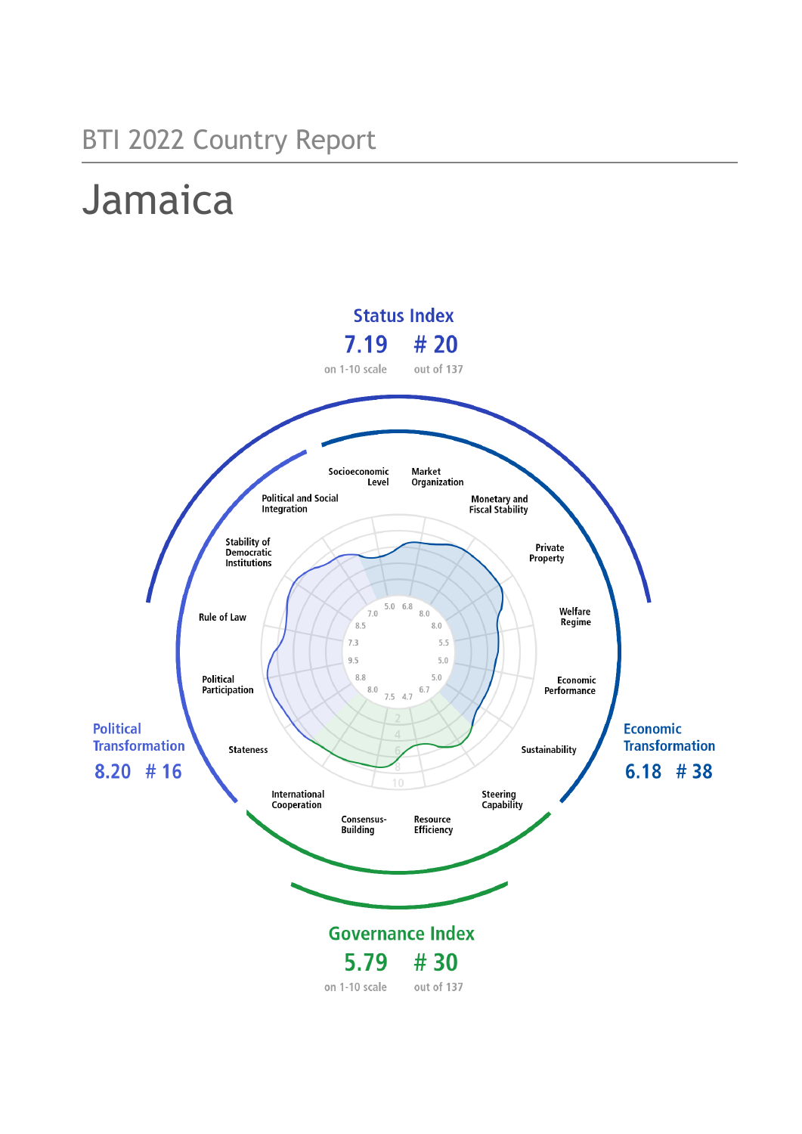## BTI 2022 Country Report

# Jamaica

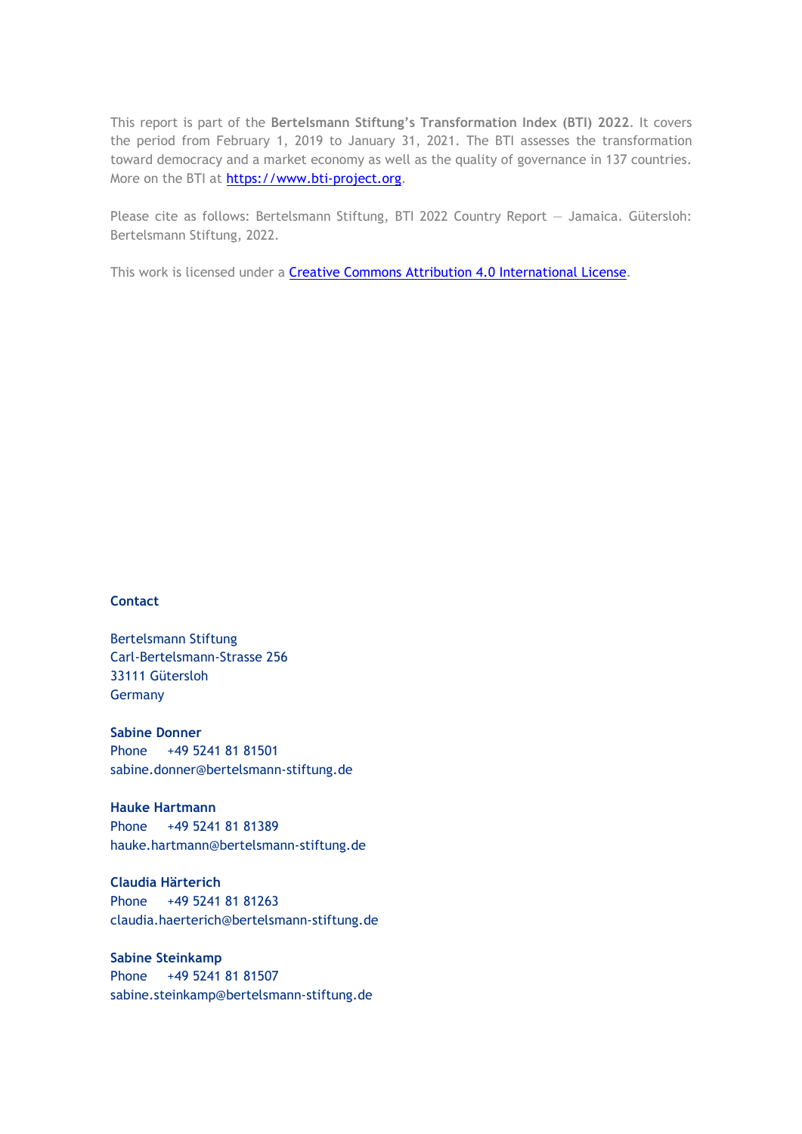This report is part of the **Bertelsmann Stiftung's Transformation Index (BTI) 2022**. It covers the period from February 1, 2019 to January 31, 2021. The BTI assesses the transformation toward democracy and a market economy as well as the quality of governance in 137 countries. More on the BTI at [https://www.bti-project.org.](https://www.bti-project.org/)

Please cite as follows: Bertelsmann Stiftung, BTI 2022 Country Report — Jamaica. Gütersloh: Bertelsmann Stiftung, 2022.

This work is licensed under a **Creative Commons Attribution 4.0 International License**.

#### **Contact**

Bertelsmann Stiftung Carl-Bertelsmann-Strasse 256 33111 Gütersloh Germany

**Sabine Donner** Phone +49 5241 81 81501 sabine.donner@bertelsmann-stiftung.de

**Hauke Hartmann** Phone +49 5241 81 81389 hauke.hartmann@bertelsmann-stiftung.de

**Claudia Härterich** Phone +49 5241 81 81263 claudia.haerterich@bertelsmann-stiftung.de

#### **Sabine Steinkamp** Phone +49 5241 81 81507 sabine.steinkamp@bertelsmann-stiftung.de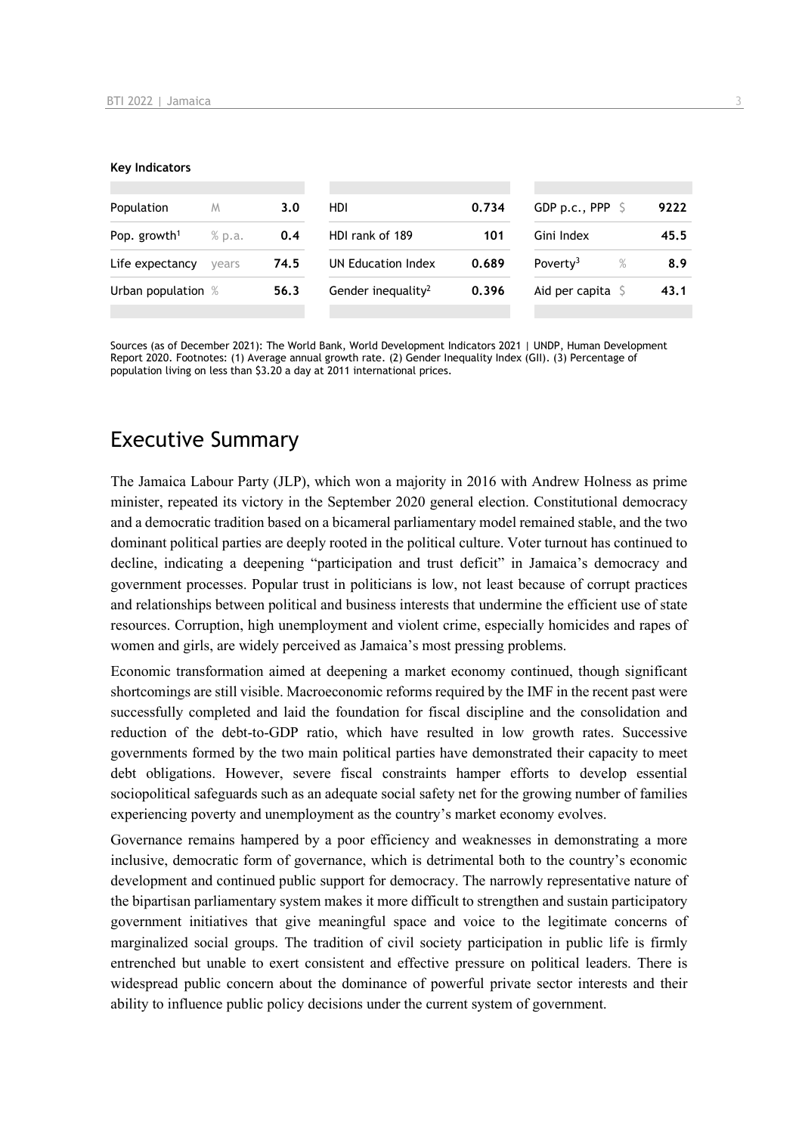#### **Key Indicators**

| Population               | M      | 3.0  | HDI                            | 0.734 | GDP p.c., PPP $\ S$          | 9222 |
|--------------------------|--------|------|--------------------------------|-------|------------------------------|------|
| Pop. growth <sup>1</sup> | % p.a. | 0.4  | HDI rank of 189                | 101   | Gini Index                   | 45.5 |
| Life expectancy          | vears  | 74.5 | UN Education Index             | 0.689 | Poverty <sup>3</sup><br>$\%$ | 8.9  |
| Urban population %       |        | 56.3 | Gender inequality <sup>2</sup> | 0.396 | Aid per capita $\mathsf S$   | 43.1 |
|                          |        |      |                                |       |                              |      |

Sources (as of December 2021): The World Bank, World Development Indicators 2021 | UNDP, Human Development Report 2020. Footnotes: (1) Average annual growth rate. (2) Gender Inequality Index (GII). (3) Percentage of population living on less than \$3.20 a day at 2011 international prices.

## Executive Summary

The Jamaica Labour Party (JLP), which won a majority in 2016 with Andrew Holness as prime minister, repeated its victory in the September 2020 general election. Constitutional democracy and a democratic tradition based on a bicameral parliamentary model remained stable, and the two dominant political parties are deeply rooted in the political culture. Voter turnout has continued to decline, indicating a deepening "participation and trust deficit" in Jamaica's democracy and government processes. Popular trust in politicians is low, not least because of corrupt practices and relationships between political and business interests that undermine the efficient use of state resources. Corruption, high unemployment and violent crime, especially homicides and rapes of women and girls, are widely perceived as Jamaica's most pressing problems.

Economic transformation aimed at deepening a market economy continued, though significant shortcomings are still visible. Macroeconomic reforms required by the IMF in the recent past were successfully completed and laid the foundation for fiscal discipline and the consolidation and reduction of the debt-to-GDP ratio, which have resulted in low growth rates. Successive governments formed by the two main political parties have demonstrated their capacity to meet debt obligations. However, severe fiscal constraints hamper efforts to develop essential sociopolitical safeguards such as an adequate social safety net for the growing number of families experiencing poverty and unemployment as the country's market economy evolves.

Governance remains hampered by a poor efficiency and weaknesses in demonstrating a more inclusive, democratic form of governance, which is detrimental both to the country's economic development and continued public support for democracy. The narrowly representative nature of the bipartisan parliamentary system makes it more difficult to strengthen and sustain participatory government initiatives that give meaningful space and voice to the legitimate concerns of marginalized social groups. The tradition of civil society participation in public life is firmly entrenched but unable to exert consistent and effective pressure on political leaders. There is widespread public concern about the dominance of powerful private sector interests and their ability to influence public policy decisions under the current system of government.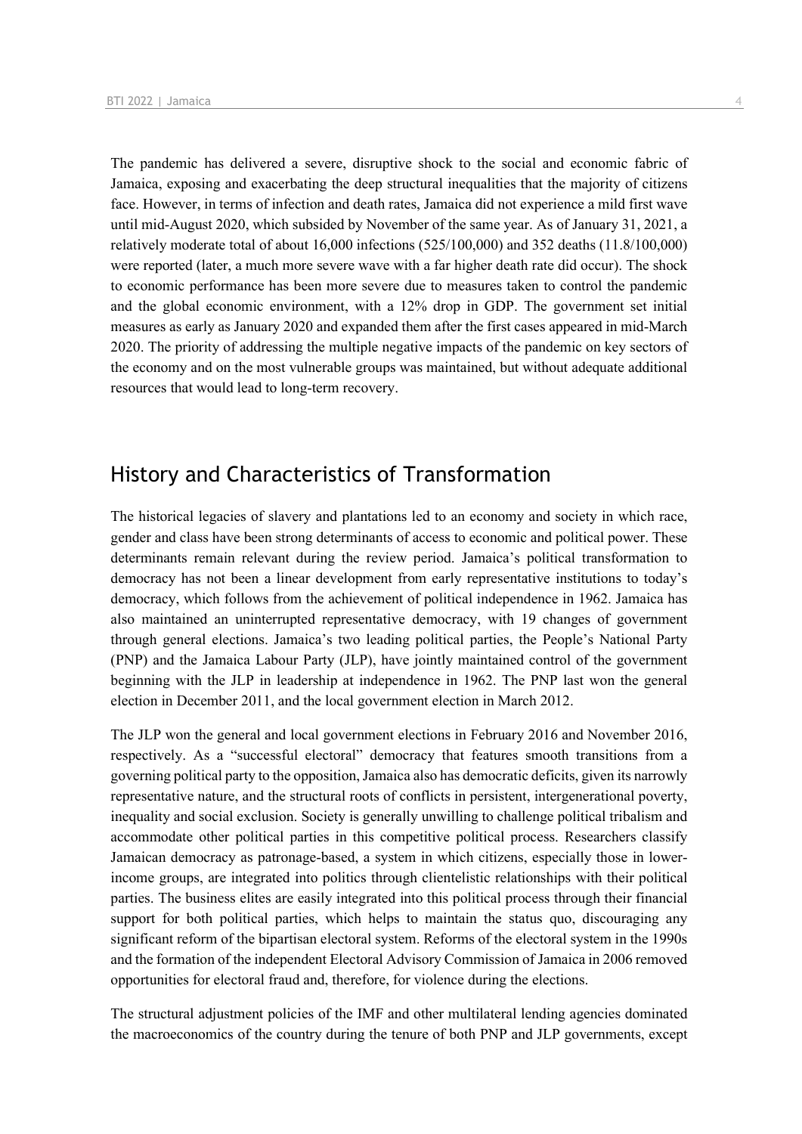The pandemic has delivered a severe, disruptive shock to the social and economic fabric of Jamaica, exposing and exacerbating the deep structural inequalities that the majority of citizens face. However, in terms of infection and death rates, Jamaica did not experience a mild first wave until mid-August 2020, which subsided by November of the same year. As of January 31, 2021, a relatively moderate total of about 16,000 infections (525/100,000) and 352 deaths (11.8/100,000) were reported (later, a much more severe wave with a far higher death rate did occur). The shock to economic performance has been more severe due to measures taken to control the pandemic and the global economic environment, with a 12% drop in GDP. The government set initial measures as early as January 2020 and expanded them after the first cases appeared in mid-March 2020. The priority of addressing the multiple negative impacts of the pandemic on key sectors of the economy and on the most vulnerable groups was maintained, but without adequate additional resources that would lead to long-term recovery.

## History and Characteristics of Transformation

The historical legacies of slavery and plantations led to an economy and society in which race, gender and class have been strong determinants of access to economic and political power. These determinants remain relevant during the review period. Jamaica's political transformation to democracy has not been a linear development from early representative institutions to today's democracy, which follows from the achievement of political independence in 1962. Jamaica has also maintained an uninterrupted representative democracy, with 19 changes of government through general elections. Jamaica's two leading political parties, the People's National Party (PNP) and the Jamaica Labour Party (JLP), have jointly maintained control of the government beginning with the JLP in leadership at independence in 1962. The PNP last won the general election in December 2011, and the local government election in March 2012.

The JLP won the general and local government elections in February 2016 and November 2016, respectively. As a "successful electoral" democracy that features smooth transitions from a governing political party to the opposition, Jamaica also has democratic deficits, given its narrowly representative nature, and the structural roots of conflicts in persistent, intergenerational poverty, inequality and social exclusion. Society is generally unwilling to challenge political tribalism and accommodate other political parties in this competitive political process. Researchers classify Jamaican democracy as patronage-based, a system in which citizens, especially those in lowerincome groups, are integrated into politics through clientelistic relationships with their political parties. The business elites are easily integrated into this political process through their financial support for both political parties, which helps to maintain the status quo, discouraging any significant reform of the bipartisan electoral system. Reforms of the electoral system in the 1990s and the formation of the independent Electoral Advisory Commission of Jamaica in 2006 removed opportunities for electoral fraud and, therefore, for violence during the elections.

The structural adjustment policies of the IMF and other multilateral lending agencies dominated the macroeconomics of the country during the tenure of both PNP and JLP governments, except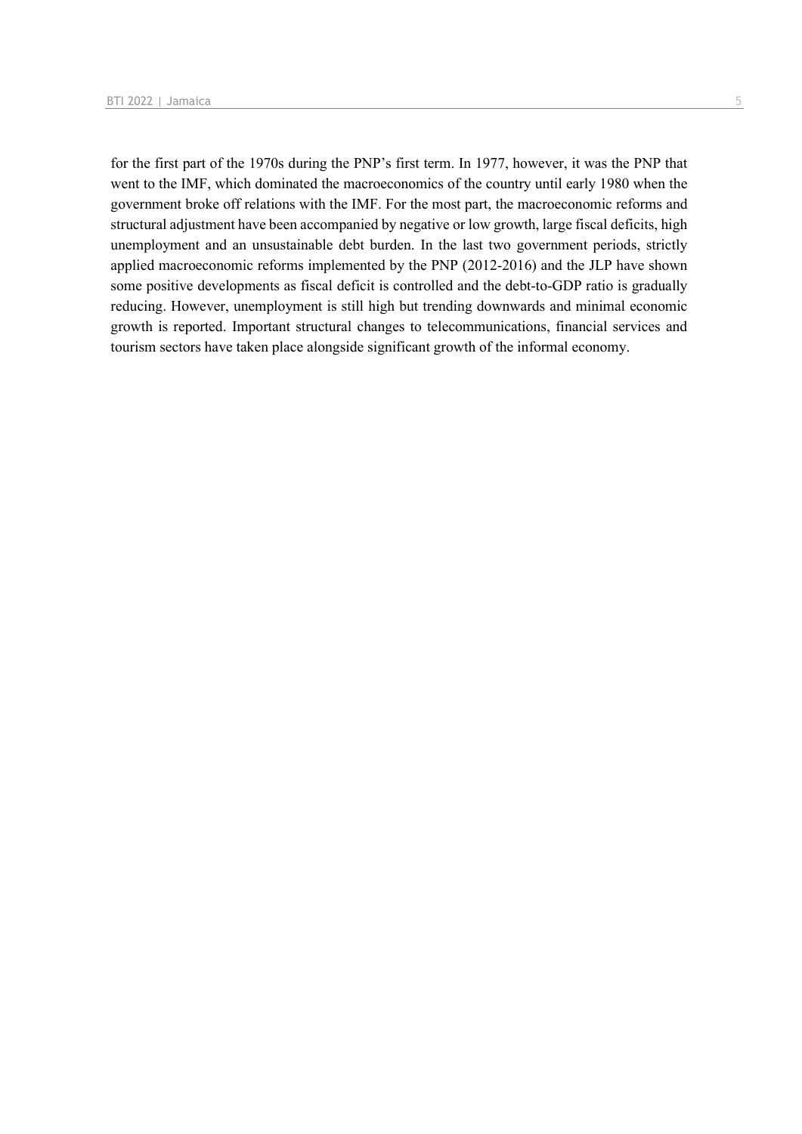for the first part of the 1970s during the PNP's first term. In 1977, however, it was the PNP that went to the IMF, which dominated the macroeconomics of the country until early 1980 when the government broke off relations with the IMF. For the most part, the macroeconomic reforms and structural adjustment have been accompanied by negative or low growth, large fiscal deficits, high unemployment and an unsustainable debt burden. In the last two government periods, strictly applied macroeconomic reforms implemented by the PNP (2012-2016) and the JLP have shown some positive developments as fiscal deficit is controlled and the debt-to-GDP ratio is gradually reducing. However, unemployment is still high but trending downwards and minimal economic growth is reported. Important structural changes to telecommunications, financial services and tourism sectors have taken place alongside significant growth of the informal economy.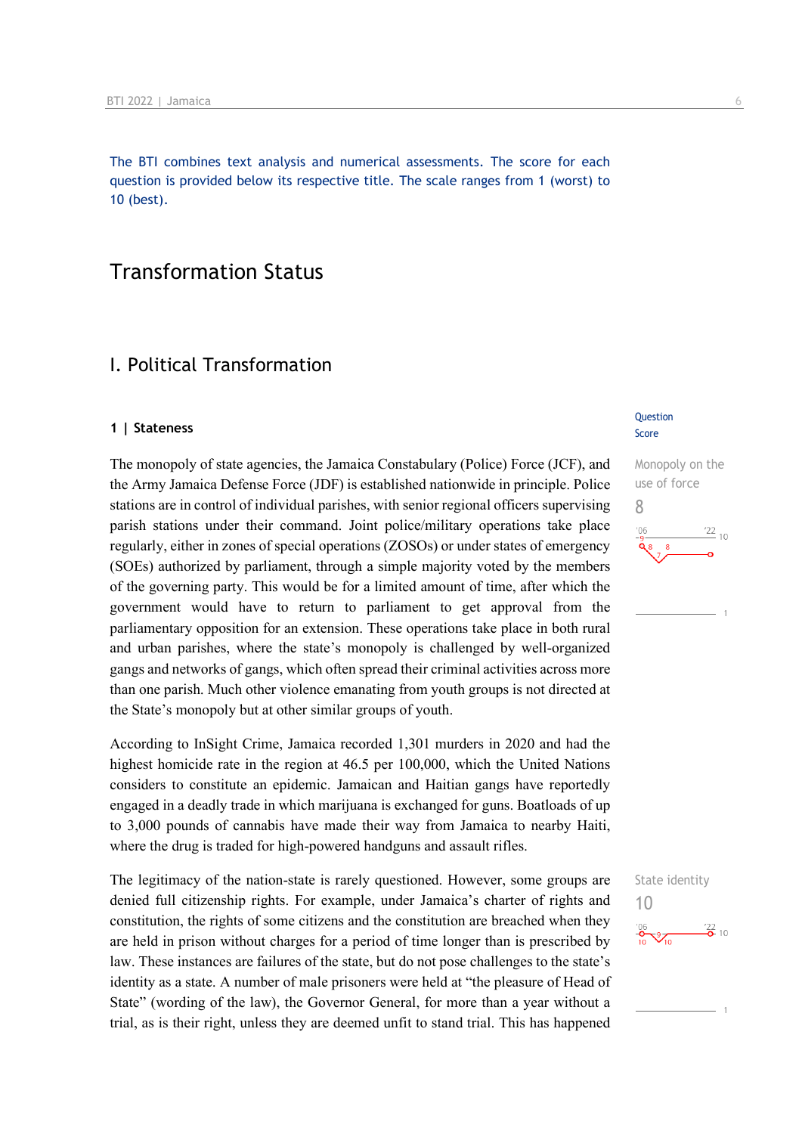The BTI combines text analysis and numerical assessments. The score for each question is provided below its respective title. The scale ranges from 1 (worst) to 10 (best).

## Transformation Status

## I. Political Transformation

#### **1 | Stateness**

The monopoly of state agencies, the Jamaica Constabulary (Police) Force (JCF), and the Army Jamaica Defense Force (JDF) is established nationwide in principle. Police stations are in control of individual parishes, with senior regional officers supervising parish stations under their command. Joint police/military operations take place regularly, either in zones of special operations (ZOSOs) or under states of emergency (SOEs) authorized by parliament, through a simple majority voted by the members of the governing party. This would be for a limited amount of time, after which the government would have to return to parliament to get approval from the parliamentary opposition for an extension. These operations take place in both rural and urban parishes, where the state's monopoly is challenged by well-organized gangs and networks of gangs, which often spread their criminal activities across more than one parish. Much other violence emanating from youth groups is not directed at the State's monopoly but at other similar groups of youth.

According to InSight Crime, Jamaica recorded 1,301 murders in 2020 and had the highest homicide rate in the region at 46.5 per 100,000, which the United Nations considers to constitute an epidemic. Jamaican and Haitian gangs have reportedly engaged in a deadly trade in which marijuana is exchanged for guns. Boatloads of up to 3,000 pounds of cannabis have made their way from Jamaica to nearby Haiti, where the drug is traded for high-powered handguns and assault rifles.

The legitimacy of the nation-state is rarely questioned. However, some groups are denied full citizenship rights. For example, under Jamaica's charter of rights and constitution, the rights of some citizens and the constitution are breached when they are held in prison without charges for a period of time longer than is prescribed by law. These instances are failures of the state, but do not pose challenges to the state's identity as a state. A number of male prisoners were held at "the pleasure of Head of State" (wording of the law), the Governor General, for more than a year without a trial, as is their right, unless they are deemed unfit to stand trial. This has happened

#### **Question** Score



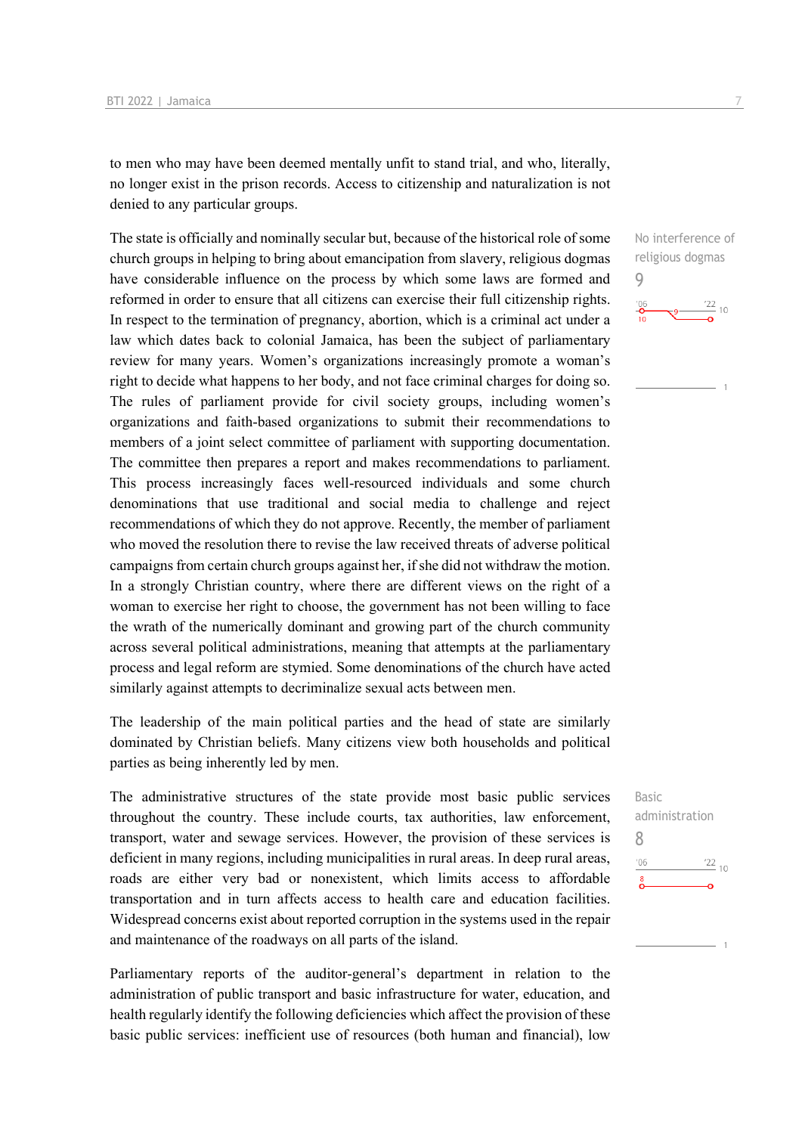to men who may have been deemed mentally unfit to stand trial, and who, literally, no longer exist in the prison records. Access to citizenship and naturalization is not denied to any particular groups.

The state is officially and nominally secular but, because of the historical role of some church groups in helping to bring about emancipation from slavery, religious dogmas have considerable influence on the process by which some laws are formed and reformed in order to ensure that all citizens can exercise their full citizenship rights. In respect to the termination of pregnancy, abortion, which is a criminal act under a law which dates back to colonial Jamaica, has been the subject of parliamentary review for many years. Women's organizations increasingly promote a woman's right to decide what happens to her body, and not face criminal charges for doing so. The rules of parliament provide for civil society groups, including women's organizations and faith-based organizations to submit their recommendations to members of a joint select committee of parliament with supporting documentation. The committee then prepares a report and makes recommendations to parliament. This process increasingly faces well-resourced individuals and some church denominations that use traditional and social media to challenge and reject recommendations of which they do not approve. Recently, the member of parliament who moved the resolution there to revise the law received threats of adverse political campaigns from certain church groups against her, if she did not withdraw the motion. In a strongly Christian country, where there are different views on the right of a woman to exercise her right to choose, the government has not been willing to face the wrath of the numerically dominant and growing part of the church community across several political administrations, meaning that attempts at the parliamentary process and legal reform are stymied. Some denominations of the church have acted similarly against attempts to decriminalize sexual acts between men.

The leadership of the main political parties and the head of state are similarly dominated by Christian beliefs. Many citizens view both households and political parties as being inherently led by men.

The administrative structures of the state provide most basic public services throughout the country. These include courts, tax authorities, law enforcement, transport, water and sewage services. However, the provision of these services is deficient in many regions, including municipalities in rural areas. In deep rural areas, roads are either very bad or nonexistent, which limits access to affordable transportation and in turn affects access to health care and education facilities. Widespread concerns exist about reported corruption in the systems used in the repair and maintenance of the roadways on all parts of the island.

Parliamentary reports of the auditor-general's department in relation to the administration of public transport and basic infrastructure for water, education, and health regularly identify the following deficiencies which affect the provision of these basic public services: inefficient use of resources (both human and financial), low No interference of religious dogmas 9



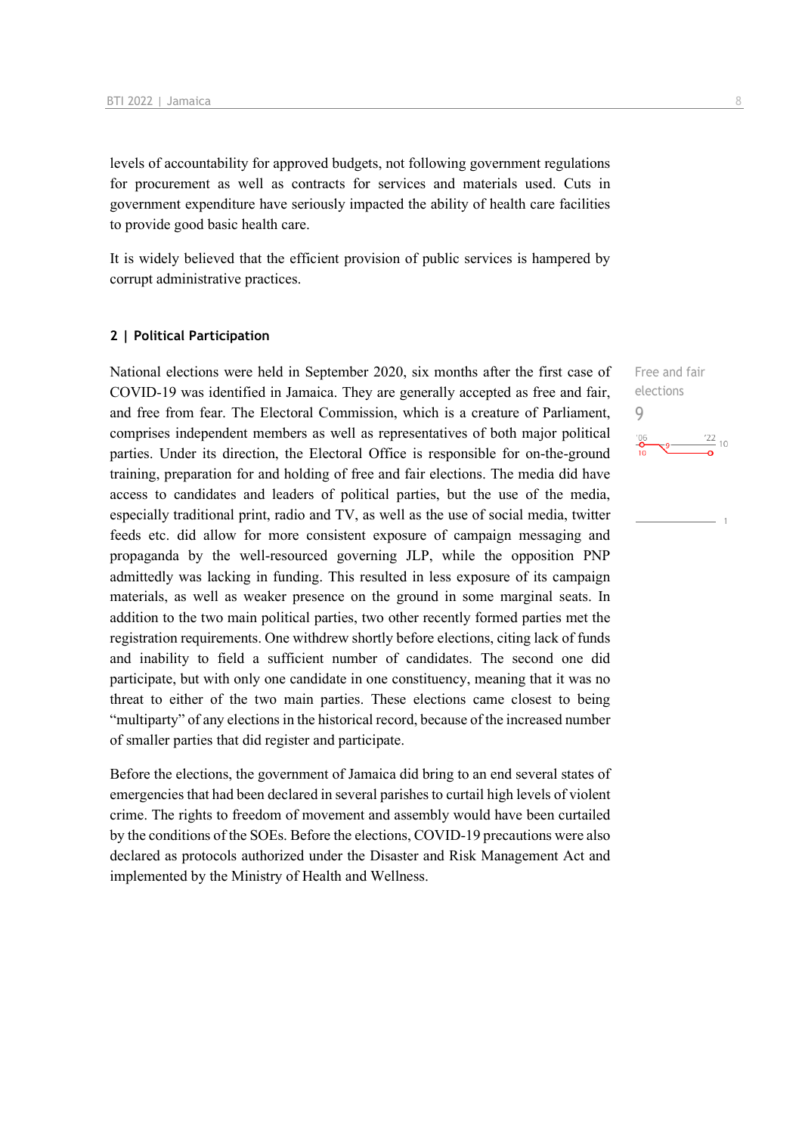levels of accountability for approved budgets, not following government regulations for procurement as well as contracts for services and materials used. Cuts in government expenditure have seriously impacted the ability of health care facilities to provide good basic health care.

It is widely believed that the efficient provision of public services is hampered by corrupt administrative practices.

#### **2 | Political Participation**

National elections were held in September 2020, six months after the first case of COVID-19 was identified in Jamaica. They are generally accepted as free and fair, and free from fear. The Electoral Commission, which is a creature of Parliament, comprises independent members as well as representatives of both major political parties. Under its direction, the Electoral Office is responsible for on-the-ground training, preparation for and holding of free and fair elections. The media did have access to candidates and leaders of political parties, but the use of the media, especially traditional print, radio and TV, as well as the use of social media, twitter feeds etc. did allow for more consistent exposure of campaign messaging and propaganda by the well-resourced governing JLP, while the opposition PNP admittedly was lacking in funding. This resulted in less exposure of its campaign materials, as well as weaker presence on the ground in some marginal seats. In addition to the two main political parties, two other recently formed parties met the registration requirements. One withdrew shortly before elections, citing lack of funds and inability to field a sufficient number of candidates. The second one did participate, but with only one candidate in one constituency, meaning that it was no threat to either of the two main parties. These elections came closest to being "multiparty" of any elections in the historical record, because of the increased number of smaller parties that did register and participate.

Before the elections, the government of Jamaica did bring to an end several states of emergencies that had been declared in several parishes to curtail high levels of violent crime. The rights to freedom of movement and assembly would have been curtailed by the conditions of the SOEs. Before the elections, COVID-19 precautions were also declared as protocols authorized under the Disaster and Risk Management Act and implemented by the Ministry of Health and Wellness.

Free and fair elections 9 $\frac{22}{10}$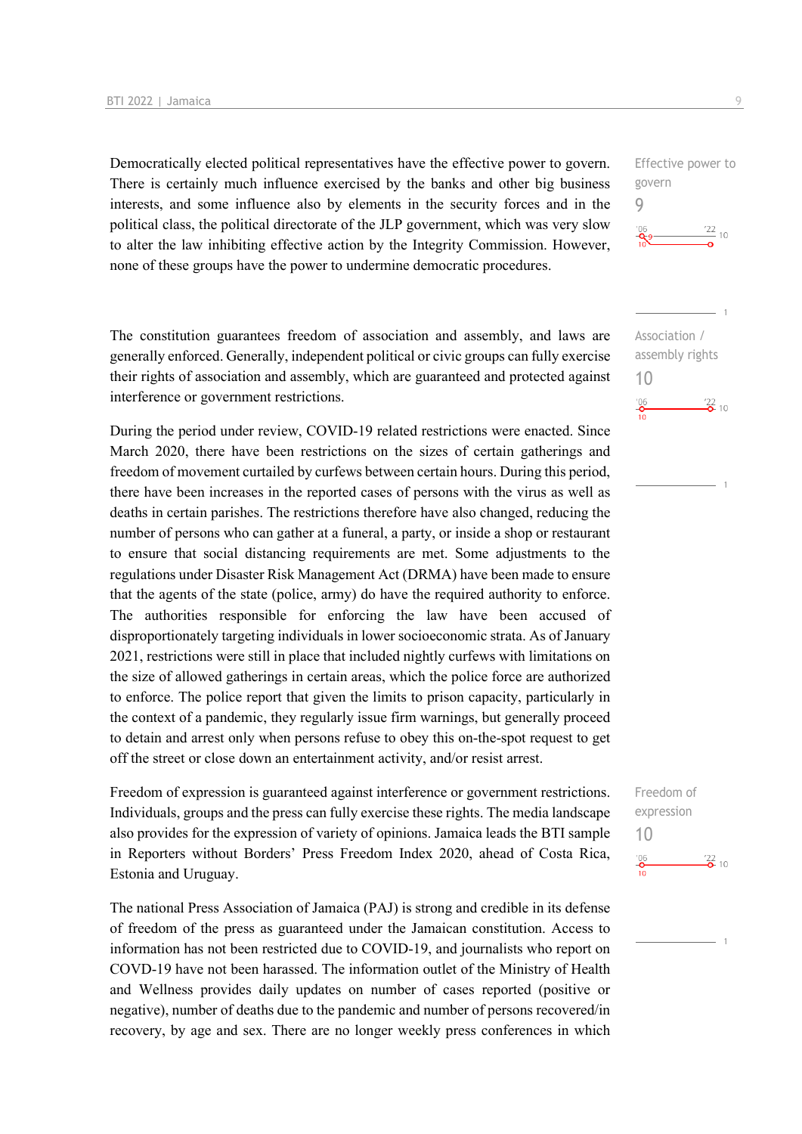Democratically elected political representatives have the effective power to govern. There is certainly much influence exercised by the banks and other big business interests, and some influence also by elements in the security forces and in the political class, the political directorate of the JLP government, which was very slow to alter the law inhibiting effective action by the Integrity Commission. However, none of these groups have the power to undermine democratic procedures.

The constitution guarantees freedom of association and assembly, and laws are generally enforced. Generally, independent political or civic groups can fully exercise their rights of association and assembly, which are guaranteed and protected against interference or government restrictions.

During the period under review, COVID-19 related restrictions were enacted. Since March 2020, there have been restrictions on the sizes of certain gatherings and freedom of movement curtailed by curfews between certain hours. During this period, there have been increases in the reported cases of persons with the virus as well as deaths in certain parishes. The restrictions therefore have also changed, reducing the number of persons who can gather at a funeral, a party, or inside a shop or restaurant to ensure that social distancing requirements are met. Some adjustments to the regulations under Disaster Risk Management Act (DRMA) have been made to ensure that the agents of the state (police, army) do have the required authority to enforce. The authorities responsible for enforcing the law have been accused of disproportionately targeting individuals in lower socioeconomic strata. As of January 2021, restrictions were still in place that included nightly curfews with limitations on the size of allowed gatherings in certain areas, which the police force are authorized to enforce. The police report that given the limits to prison capacity, particularly in the context of a pandemic, they regularly issue firm warnings, but generally proceed to detain and arrest only when persons refuse to obey this on-the-spot request to get off the street or close down an entertainment activity, and/or resist arrest.

Freedom of expression is guaranteed against interference or government restrictions. Individuals, groups and the press can fully exercise these rights. The media landscape also provides for the expression of variety of opinions. Jamaica leads the BTI sample in Reporters without Borders' Press Freedom Index 2020, ahead of Costa Rica, Estonia and Uruguay.

The national Press Association of Jamaica (PAJ) is strong and credible in its defense of freedom of the press as guaranteed under the Jamaican constitution. Access to information has not been restricted due to COVID-19, and journalists who report on COVD-19 have not been harassed. The information outlet of the Ministry of Health and Wellness provides daily updates on number of cases reported (positive or negative), number of deaths due to the pandemic and number of persons recovered/in recovery, by age and sex. There are no longer weekly press conferences in which

Effective power to govern 9  $\frac{22}{10}$ 

Association / assembly rights 10  $\frac{22}{2}$  10  $^{206}$ 

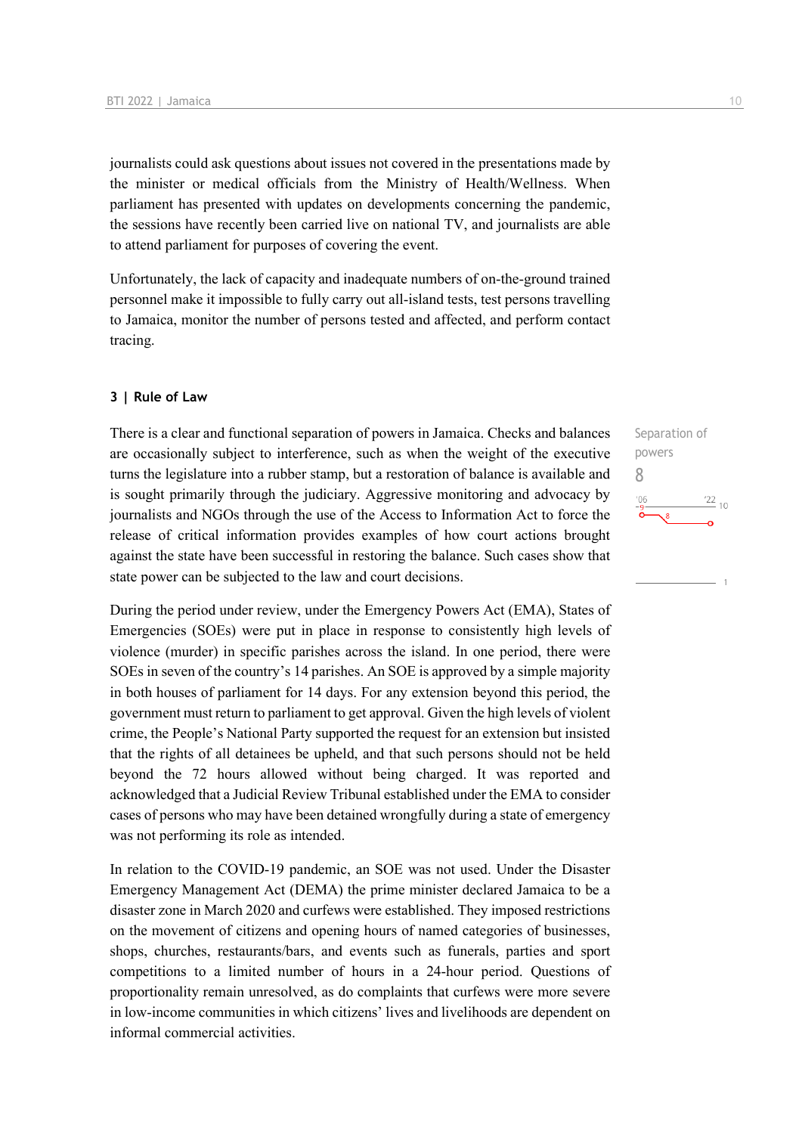journalists could ask questions about issues not covered in the presentations made by the minister or medical officials from the Ministry of Health/Wellness. When parliament has presented with updates on developments concerning the pandemic, the sessions have recently been carried live on national TV, and journalists are able to attend parliament for purposes of covering the event.

Unfortunately, the lack of capacity and inadequate numbers of on-the-ground trained personnel make it impossible to fully carry out all-island tests, test persons travelling to Jamaica, monitor the number of persons tested and affected, and perform contact tracing.

#### **3 | Rule of Law**

There is a clear and functional separation of powers in Jamaica. Checks and balances are occasionally subject to interference, such as when the weight of the executive turns the legislature into a rubber stamp, but a restoration of balance is available and is sought primarily through the judiciary. Aggressive monitoring and advocacy by journalists and NGOs through the use of the Access to Information Act to force the release of critical information provides examples of how court actions brought against the state have been successful in restoring the balance. Such cases show that state power can be subjected to the law and court decisions.

During the period under review, under the Emergency Powers Act (EMA), States of Emergencies (SOEs) were put in place in response to consistently high levels of violence (murder) in specific parishes across the island. In one period, there were SOEs in seven of the country's 14 parishes. An SOE is approved by a simple majority in both houses of parliament for 14 days. For any extension beyond this period, the government must return to parliament to get approval. Given the high levels of violent crime, the People's National Party supported the request for an extension but insisted that the rights of all detainees be upheld, and that such persons should not be held beyond the 72 hours allowed without being charged. It was reported and acknowledged that a Judicial Review Tribunal established under the EMA to consider cases of persons who may have been detained wrongfully during a state of emergency was not performing its role as intended.

In relation to the COVID-19 pandemic, an SOE was not used. Under the Disaster Emergency Management Act (DEMA) the prime minister declared Jamaica to be a disaster zone in March 2020 and curfews were established. They imposed restrictions on the movement of citizens and opening hours of named categories of businesses, shops, churches, restaurants/bars, and events such as funerals, parties and sport competitions to a limited number of hours in a 24-hour period. Questions of proportionality remain unresolved, as do complaints that curfews were more severe in low-income communities in which citizens' lives and livelihoods are dependent on informal commercial activities.

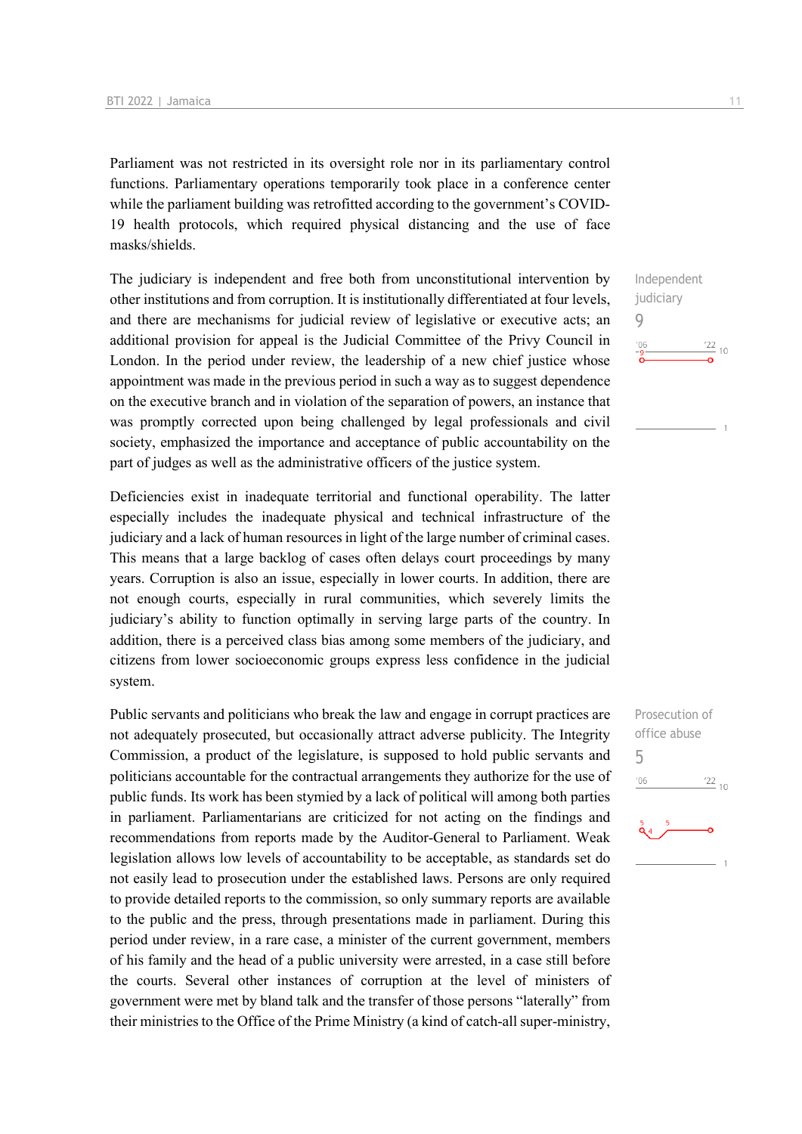Parliament was not restricted in its oversight role nor in its parliamentary control functions. Parliamentary operations temporarily took place in a conference center while the parliament building was retrofitted according to the government's COVID-19 health protocols, which required physical distancing and the use of face masks/shields.

The judiciary is independent and free both from unconstitutional intervention by other institutions and from corruption. It is institutionally differentiated at four levels, and there are mechanisms for judicial review of legislative or executive acts; an additional provision for appeal is the Judicial Committee of the Privy Council in London. In the period under review, the leadership of a new chief justice whose appointment was made in the previous period in such a way as to suggest dependence on the executive branch and in violation of the separation of powers, an instance that was promptly corrected upon being challenged by legal professionals and civil society, emphasized the importance and acceptance of public accountability on the part of judges as well as the administrative officers of the justice system.

Deficiencies exist in inadequate territorial and functional operability. The latter especially includes the inadequate physical and technical infrastructure of the judiciary and a lack of human resources in light of the large number of criminal cases. This means that a large backlog of cases often delays court proceedings by many years. Corruption is also an issue, especially in lower courts. In addition, there are not enough courts, especially in rural communities, which severely limits the judiciary's ability to function optimally in serving large parts of the country. In addition, there is a perceived class bias among some members of the judiciary, and citizens from lower socioeconomic groups express less confidence in the judicial system.

Public servants and politicians who break the law and engage in corrupt practices are not adequately prosecuted, but occasionally attract adverse publicity. The Integrity Commission, a product of the legislature, is supposed to hold public servants and politicians accountable for the contractual arrangements they authorize for the use of public funds. Its work has been stymied by a lack of political will among both parties in parliament. Parliamentarians are criticized for not acting on the findings and recommendations from reports made by the Auditor-General to Parliament. Weak legislation allows low levels of accountability to be acceptable, as standards set do not easily lead to prosecution under the established laws. Persons are only required to provide detailed reports to the commission, so only summary reports are available to the public and the press, through presentations made in parliament. During this period under review, in a rare case, a minister of the current government, members of his family and the head of a public university were arrested, in a case still before the courts. Several other instances of corruption at the level of ministers of government were met by bland talk and the transfer of those persons "laterally" from their ministries to the Office of the Prime Ministry (a kind of catch-all super-ministry,

Independent judiciary 9  $\frac{22}{10}$  $^{\prime}06$ 

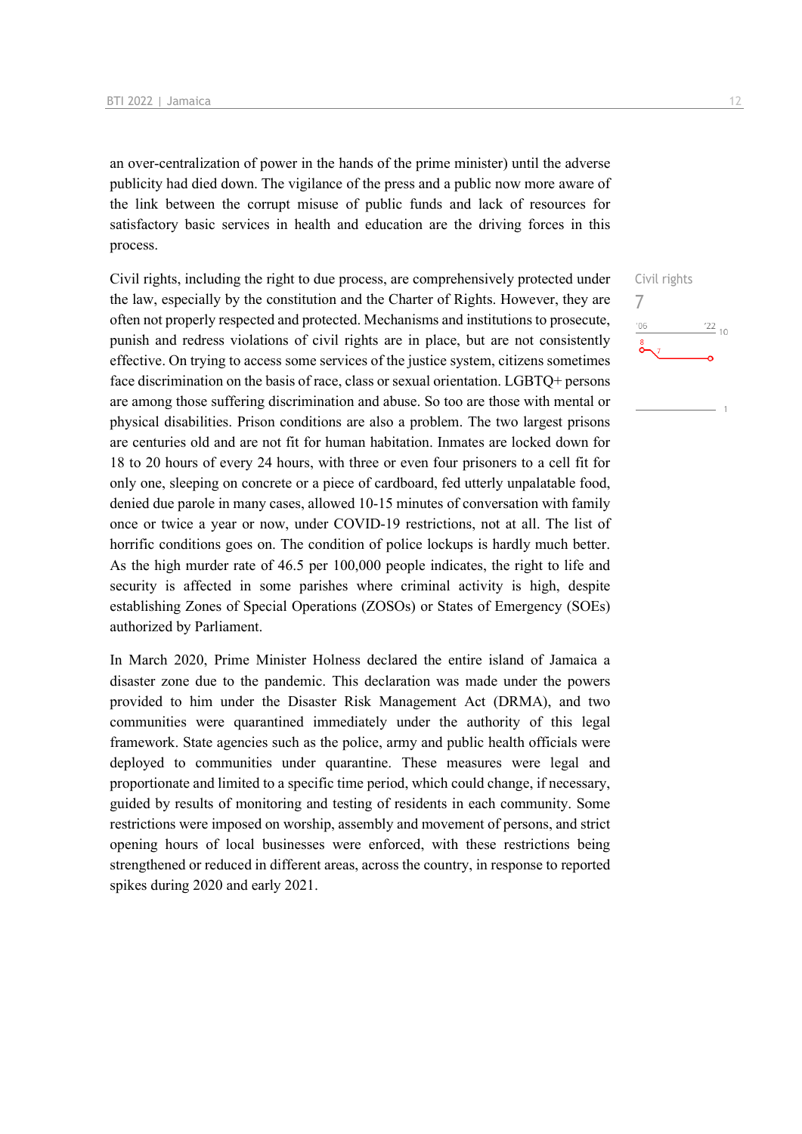an over-centralization of power in the hands of the prime minister) until the adverse publicity had died down. The vigilance of the press and a public now more aware of the link between the corrupt misuse of public funds and lack of resources for satisfactory basic services in health and education are the driving forces in this process.

Civil rights, including the right to due process, are comprehensively protected under the law, especially by the constitution and the Charter of Rights. However, they are often not properly respected and protected. Mechanisms and institutions to prosecute, punish and redress violations of civil rights are in place, but are not consistently effective. On trying to access some services of the justice system, citizens sometimes face discrimination on the basis of race, class or sexual orientation. LGBTQ+ persons are among those suffering discrimination and abuse. So too are those with mental or physical disabilities. Prison conditions are also a problem. The two largest prisons are centuries old and are not fit for human habitation. Inmates are locked down for 18 to 20 hours of every 24 hours, with three or even four prisoners to a cell fit for only one, sleeping on concrete or a piece of cardboard, fed utterly unpalatable food, denied due parole in many cases, allowed 10-15 minutes of conversation with family once or twice a year or now, under COVID-19 restrictions, not at all. The list of horrific conditions goes on. The condition of police lockups is hardly much better. As the high murder rate of 46.5 per 100,000 people indicates, the right to life and security is affected in some parishes where criminal activity is high, despite establishing Zones of Special Operations (ZOSOs) or States of Emergency (SOEs) authorized by Parliament.

In March 2020, Prime Minister Holness declared the entire island of Jamaica a disaster zone due to the pandemic. This declaration was made under the powers provided to him under the Disaster Risk Management Act (DRMA), and two communities were quarantined immediately under the authority of this legal framework. State agencies such as the police, army and public health officials were deployed to communities under quarantine. These measures were legal and proportionate and limited to a specific time period, which could change, if necessary, guided by results of monitoring and testing of residents in each community. Some restrictions were imposed on worship, assembly and movement of persons, and strict opening hours of local businesses were enforced, with these restrictions being strengthened or reduced in different areas, across the country, in response to reported spikes during 2020 and early 2021.

Civil rights 7 $\frac{22}{10}$  $-06$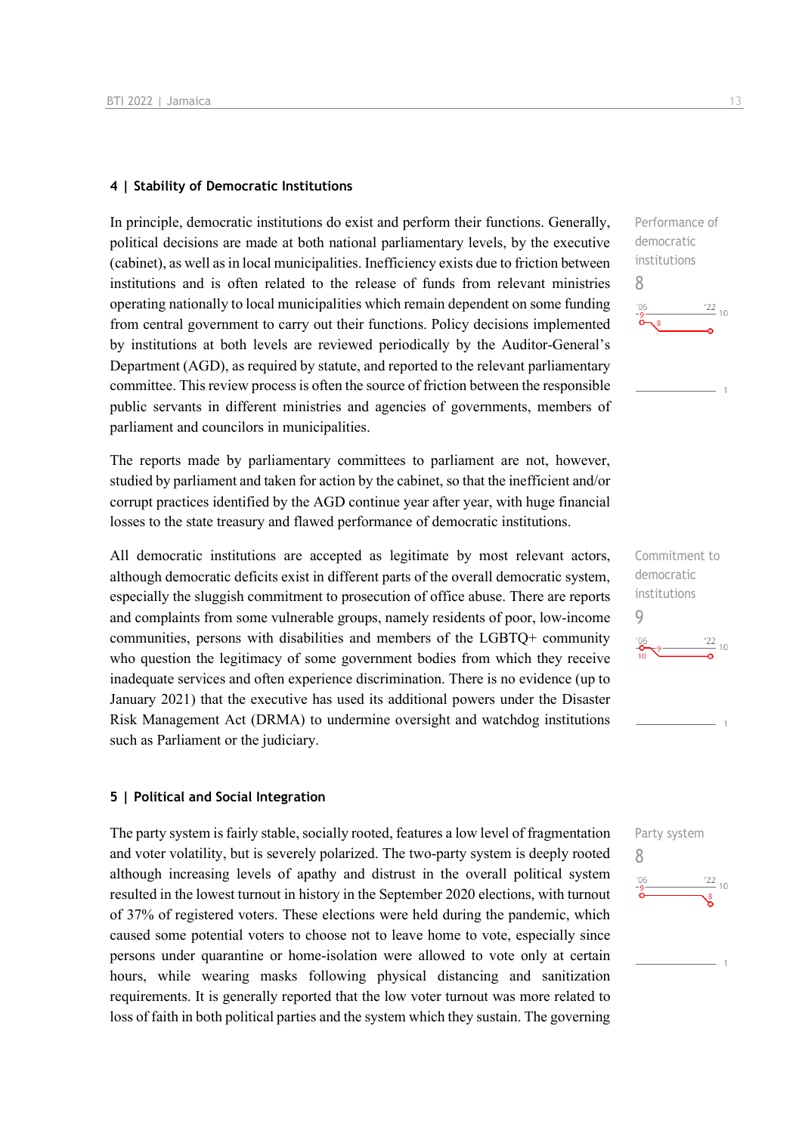#### **4 | Stability of Democratic Institutions**

In principle, democratic institutions do exist and perform their functions. Generally, political decisions are made at both national parliamentary levels, by the executive (cabinet), as well as in local municipalities. Inefficiency exists due to friction between institutions and is often related to the release of funds from relevant ministries operating nationally to local municipalities which remain dependent on some funding from central government to carry out their functions. Policy decisions implemented by institutions at both levels are reviewed periodically by the Auditor-General's Department (AGD), as required by statute, and reported to the relevant parliamentary committee. This review process is often the source of friction between the responsible public servants in different ministries and agencies of governments, members of parliament and councilors in municipalities.

The reports made by parliamentary committees to parliament are not, however, studied by parliament and taken for action by the cabinet, so that the inefficient and/or corrupt practices identified by the AGD continue year after year, with huge financial losses to the state treasury and flawed performance of democratic institutions.

All democratic institutions are accepted as legitimate by most relevant actors, although democratic deficits exist in different parts of the overall democratic system, especially the sluggish commitment to prosecution of office abuse. There are reports and complaints from some vulnerable groups, namely residents of poor, low-income communities, persons with disabilities and members of the LGBTQ+ community who question the legitimacy of some government bodies from which they receive inadequate services and often experience discrimination. There is no evidence (up to January 2021) that the executive has used its additional powers under the Disaster Risk Management Act (DRMA) to undermine oversight and watchdog institutions such as Parliament or the judiciary.

#### **5 | Political and Social Integration**

The party system is fairly stable, socially rooted, features a low level of fragmentation and voter volatility, but is severely polarized. The two-party system is deeply rooted although increasing levels of apathy and distrust in the overall political system resulted in the lowest turnout in history in the September 2020 elections, with turnout of 37% of registered voters. These elections were held during the pandemic, which caused some potential voters to choose not to leave home to vote, especially since persons under quarantine or home-isolation were allowed to vote only at certain hours, while wearing masks following physical distancing and sanitization requirements. It is generally reported that the low voter turnout was more related to loss of faith in both political parties and the system which they sustain. The governing



Commitment to democratic institutions 9  $\frac{22}{10}$ 

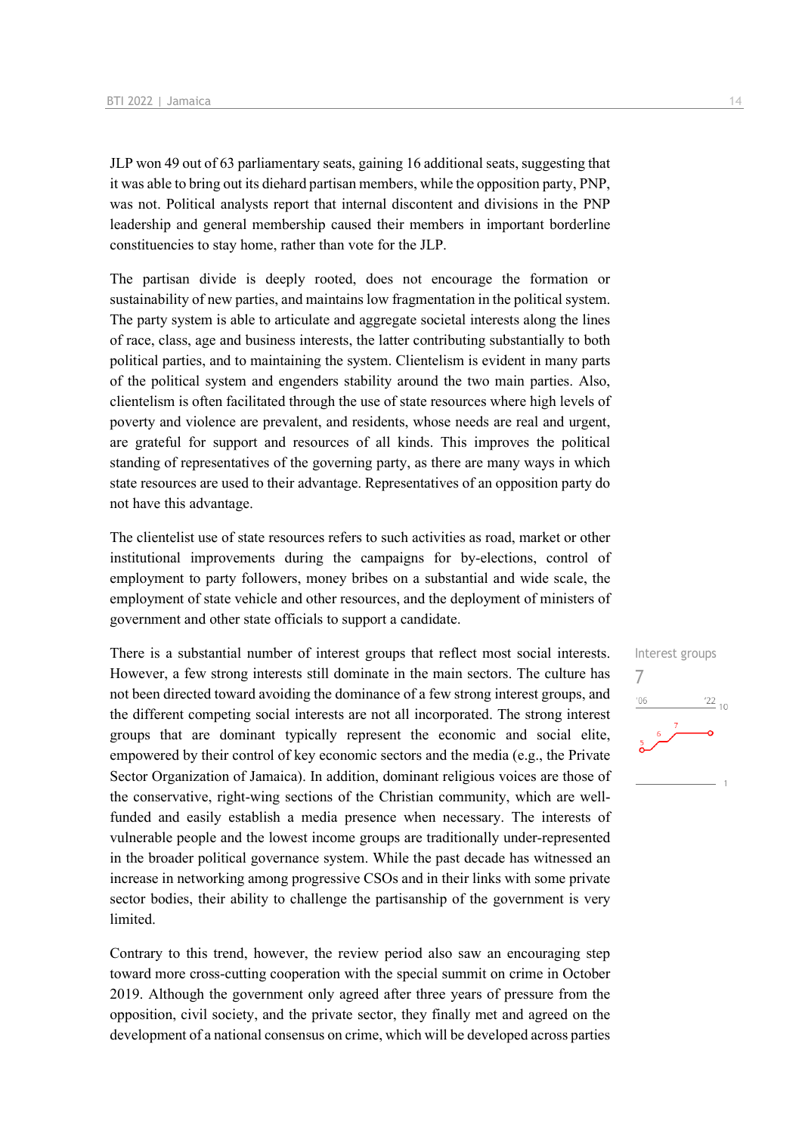JLP won 49 out of 63 parliamentary seats, gaining 16 additional seats, suggesting that it was able to bring out its diehard partisan members, while the opposition party, PNP, was not. Political analysts report that internal discontent and divisions in the PNP leadership and general membership caused their members in important borderline constituencies to stay home, rather than vote for the JLP.

The partisan divide is deeply rooted, does not encourage the formation or sustainability of new parties, and maintains low fragmentation in the political system. The party system is able to articulate and aggregate societal interests along the lines of race, class, age and business interests, the latter contributing substantially to both political parties, and to maintaining the system. Clientelism is evident in many parts of the political system and engenders stability around the two main parties. Also, clientelism is often facilitated through the use of state resources where high levels of poverty and violence are prevalent, and residents, whose needs are real and urgent, are grateful for support and resources of all kinds. This improves the political standing of representatives of the governing party, as there are many ways in which state resources are used to their advantage. Representatives of an opposition party do not have this advantage.

The clientelist use of state resources refers to such activities as road, market or other institutional improvements during the campaigns for by-elections, control of employment to party followers, money bribes on a substantial and wide scale, the employment of state vehicle and other resources, and the deployment of ministers of government and other state officials to support a candidate.

There is a substantial number of interest groups that reflect most social interests. However, a few strong interests still dominate in the main sectors. The culture has not been directed toward avoiding the dominance of a few strong interest groups, and the different competing social interests are not all incorporated. The strong interest groups that are dominant typically represent the economic and social elite, empowered by their control of key economic sectors and the media (e.g., the Private Sector Organization of Jamaica). In addition, dominant religious voices are those of the conservative, right-wing sections of the Christian community, which are wellfunded and easily establish a media presence when necessary. The interests of vulnerable people and the lowest income groups are traditionally under-represented in the broader political governance system. While the past decade has witnessed an increase in networking among progressive CSOs and in their links with some private sector bodies, their ability to challenge the partisanship of the government is very limited.

Contrary to this trend, however, the review period also saw an encouraging step toward more cross-cutting cooperation with the special summit on crime in October 2019. Although the government only agreed after three years of pressure from the opposition, civil society, and the private sector, they finally met and agreed on the development of a national consensus on crime, which will be developed across parties Interest groups 7 $\frac{22}{10}$  $-06$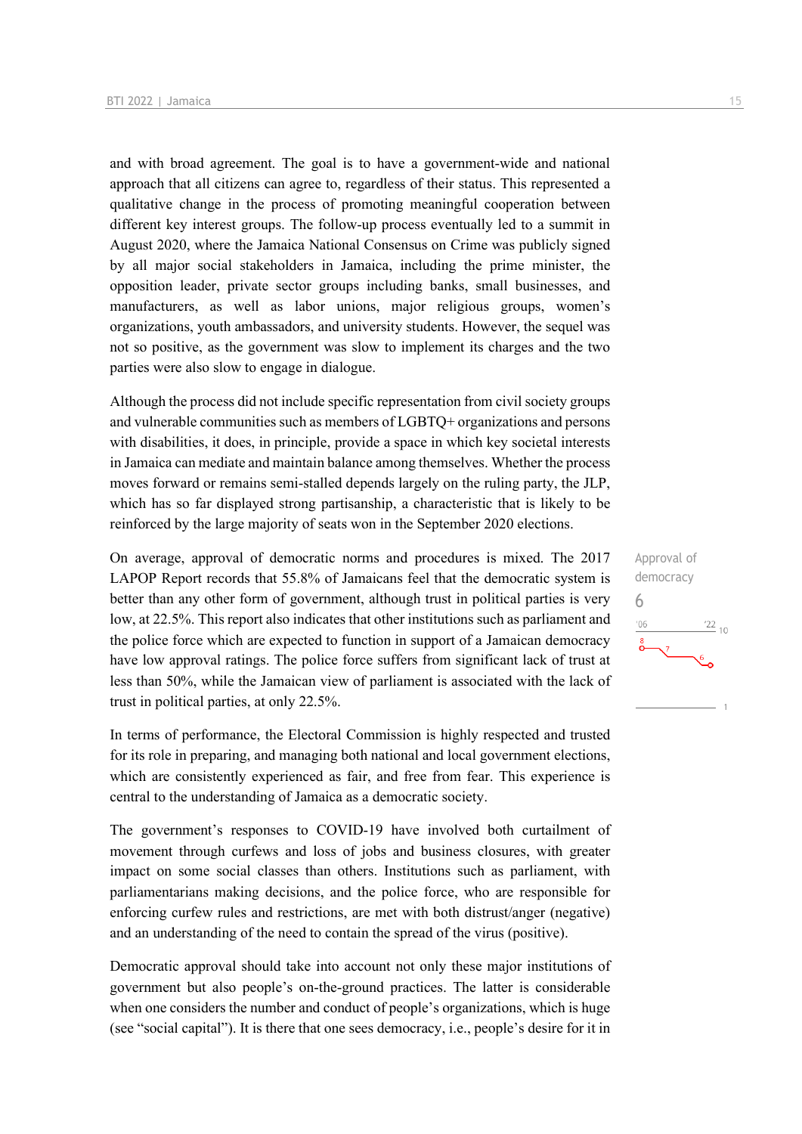and with broad agreement. The goal is to have a government-wide and national approach that all citizens can agree to, regardless of their status. This represented a qualitative change in the process of promoting meaningful cooperation between different key interest groups. The follow-up process eventually led to a summit in August 2020, where the Jamaica National Consensus on Crime was publicly signed by all major social stakeholders in Jamaica, including the prime minister, the opposition leader, private sector groups including banks, small businesses, and manufacturers, as well as labor unions, major religious groups, women's organizations, youth ambassadors, and university students. However, the sequel was not so positive, as the government was slow to implement its charges and the two parties were also slow to engage in dialogue.

Although the process did not include specific representation from civil society groups and vulnerable communities such as members of LGBTQ+ organizations and persons with disabilities, it does, in principle, provide a space in which key societal interests in Jamaica can mediate and maintain balance among themselves. Whether the process moves forward or remains semi-stalled depends largely on the ruling party, the JLP, which has so far displayed strong partisanship, a characteristic that is likely to be reinforced by the large majority of seats won in the September 2020 elections.

On average, approval of democratic norms and procedures is mixed. The 2017 LAPOP Report records that 55.8% of Jamaicans feel that the democratic system is better than any other form of government, although trust in political parties is very low, at 22.5%. This report also indicates that other institutions such as parliament and the police force which are expected to function in support of a Jamaican democracy have low approval ratings. The police force suffers from significant lack of trust at less than 50%, while the Jamaican view of parliament is associated with the lack of trust in political parties, at only 22.5%.

In terms of performance, the Electoral Commission is highly respected and trusted for its role in preparing, and managing both national and local government elections, which are consistently experienced as fair, and free from fear. This experience is central to the understanding of Jamaica as a democratic society.

The government's responses to COVID-19 have involved both curtailment of movement through curfews and loss of jobs and business closures, with greater impact on some social classes than others. Institutions such as parliament, with parliamentarians making decisions, and the police force, who are responsible for enforcing curfew rules and restrictions, are met with both distrust/anger (negative) and an understanding of the need to contain the spread of the virus (positive).

Democratic approval should take into account not only these major institutions of government but also people's on-the-ground practices. The latter is considerable when one considers the number and conduct of people's organizations, which is huge (see "social capital"). It is there that one sees democracy, i.e., people's desire for it in

Approval of democracy 6 $\frac{22}{10}$  $^{\prime}06$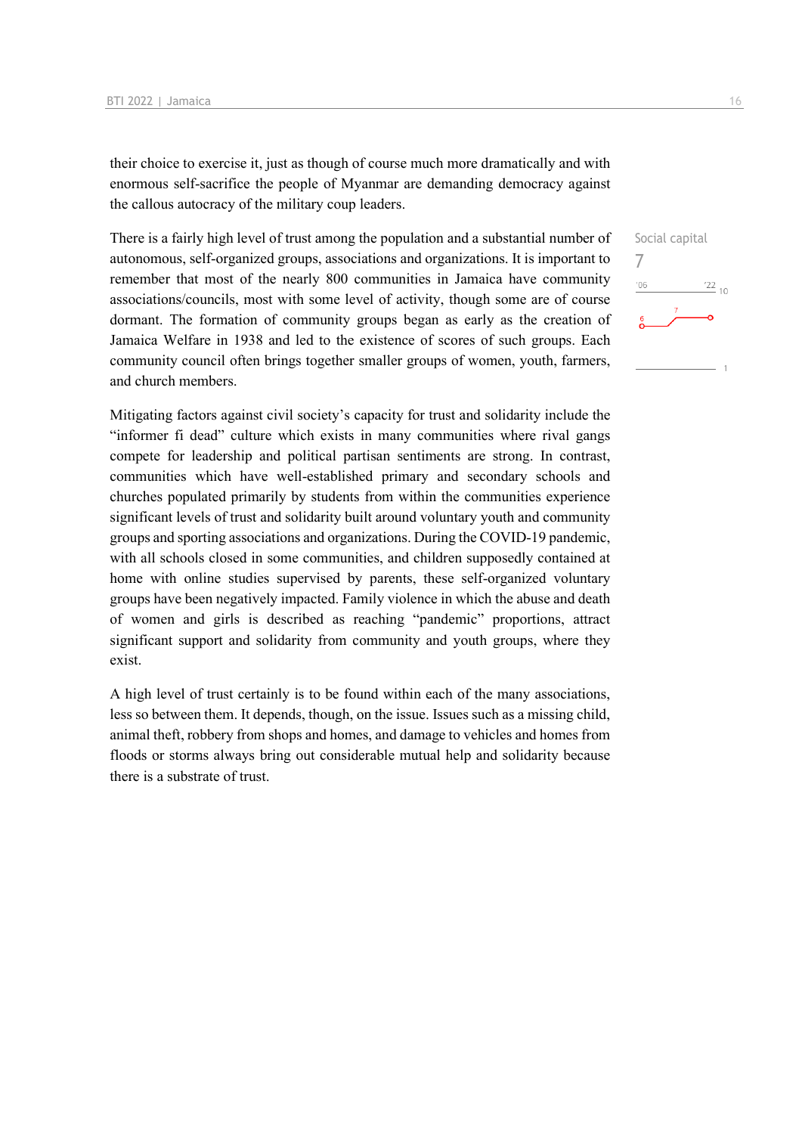their choice to exercise it, just as though of course much more dramatically and with enormous self-sacrifice the people of Myanmar are demanding democracy against the callous autocracy of the military coup leaders.

There is a fairly high level of trust among the population and a substantial number of autonomous, self-organized groups, associations and organizations. It is important to remember that most of the nearly 800 communities in Jamaica have community associations/councils, most with some level of activity, though some are of course dormant. The formation of community groups began as early as the creation of Jamaica Welfare in 1938 and led to the existence of scores of such groups. Each community council often brings together smaller groups of women, youth, farmers, and church members.

Mitigating factors against civil society's capacity for trust and solidarity include the "informer fi dead" culture which exists in many communities where rival gangs compete for leadership and political partisan sentiments are strong. In contrast, communities which have well-established primary and secondary schools and churches populated primarily by students from within the communities experience significant levels of trust and solidarity built around voluntary youth and community groups and sporting associations and organizations. During the COVID-19 pandemic, with all schools closed in some communities, and children supposedly contained at home with online studies supervised by parents, these self-organized voluntary groups have been negatively impacted. Family violence in which the abuse and death of women and girls is described as reaching "pandemic" proportions, attract significant support and solidarity from community and youth groups, where they exist.

A high level of trust certainly is to be found within each of the many associations, less so between them. It depends, though, on the issue. Issues such as a missing child, animal theft, robbery from shops and homes, and damage to vehicles and homes from floods or storms always bring out considerable mutual help and solidarity because there is a substrate of trust.

Social capital 7 $^{22}$  10  $^{\prime}06$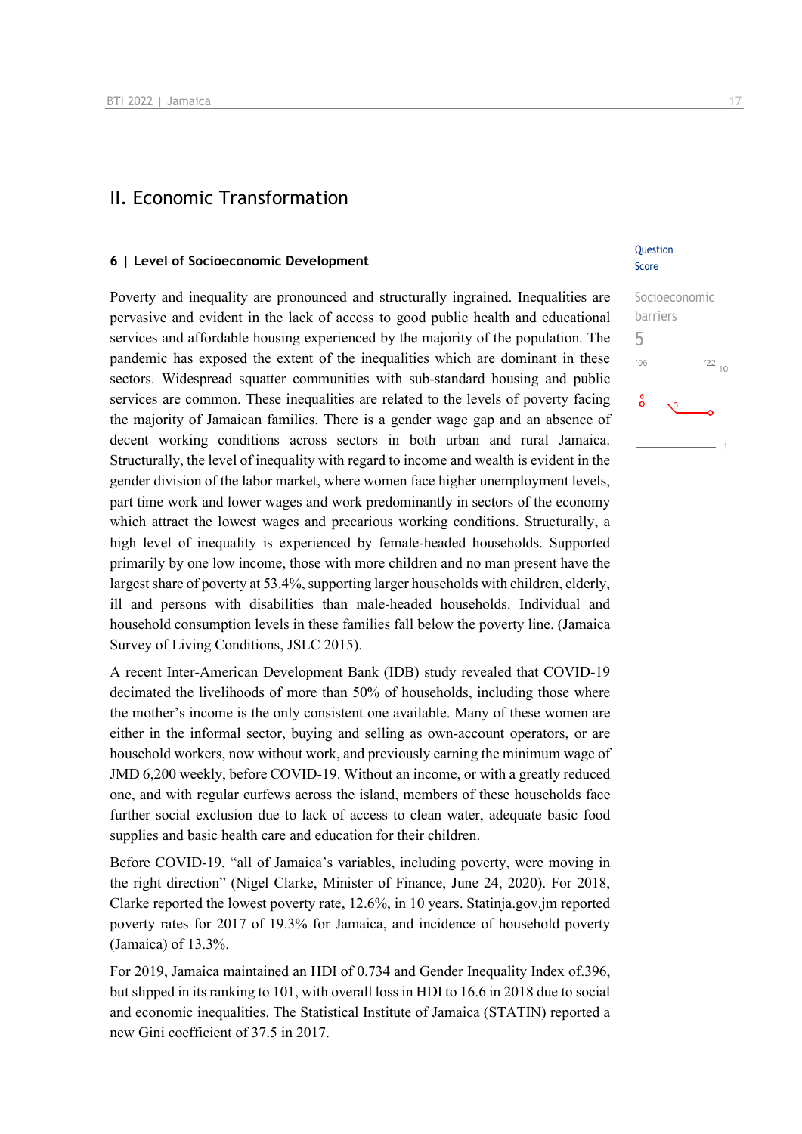### II. Economic Transformation

#### **6 | Level of Socioeconomic Development**

Poverty and inequality are pronounced and structurally ingrained. Inequalities are pervasive and evident in the lack of access to good public health and educational services and affordable housing experienced by the majority of the population. The pandemic has exposed the extent of the inequalities which are dominant in these sectors. Widespread squatter communities with sub-standard housing and public services are common. These inequalities are related to the levels of poverty facing the majority of Jamaican families. There is a gender wage gap and an absence of decent working conditions across sectors in both urban and rural Jamaica. Structurally, the level of inequality with regard to income and wealth is evident in the gender division of the labor market, where women face higher unemployment levels, part time work and lower wages and work predominantly in sectors of the economy which attract the lowest wages and precarious working conditions. Structurally, a high level of inequality is experienced by female-headed households. Supported primarily by one low income, those with more children and no man present have the largest share of poverty at 53.4%, supporting larger households with children, elderly, ill and persons with disabilities than male-headed households. Individual and household consumption levels in these families fall below the poverty line. (Jamaica Survey of Living Conditions, JSLC 2015).

A recent Inter-American Development Bank (IDB) study revealed that COVID-19 decimated the livelihoods of more than 50% of households, including those where the mother's income is the only consistent one available. Many of these women are either in the informal sector, buying and selling as own-account operators, or are household workers, now without work, and previously earning the minimum wage of JMD 6,200 weekly, before COVID-19. Without an income, or with a greatly reduced one, and with regular curfews across the island, members of these households face further social exclusion due to lack of access to clean water, adequate basic food supplies and basic health care and education for their children.

Before COVID-19, "all of Jamaica's variables, including poverty, were moving in the right direction" (Nigel Clarke, Minister of Finance, June 24, 2020). For 2018, Clarke reported the lowest poverty rate, 12.6%, in 10 years. Statinja.gov.jm reported poverty rates for 2017 of 19.3% for Jamaica, and incidence of household poverty (Jamaica) of 13.3%.

For 2019, Jamaica maintained an HDI of 0.734 and Gender Inequality Index of.396, but slipped in its ranking to 101, with overall loss in HDI to 16.6 in 2018 due to social and economic inequalities. The Statistical Institute of Jamaica (STATIN) reported a new Gini coefficient of 37.5 in 2017.

#### Question Score

| Socioeconomic          |  |
|------------------------|--|
| barriers               |  |
| h                      |  |
| '06<br>$\frac{22}{10}$ |  |
| $\frac{6}{9}$<br>5     |  |
|                        |  |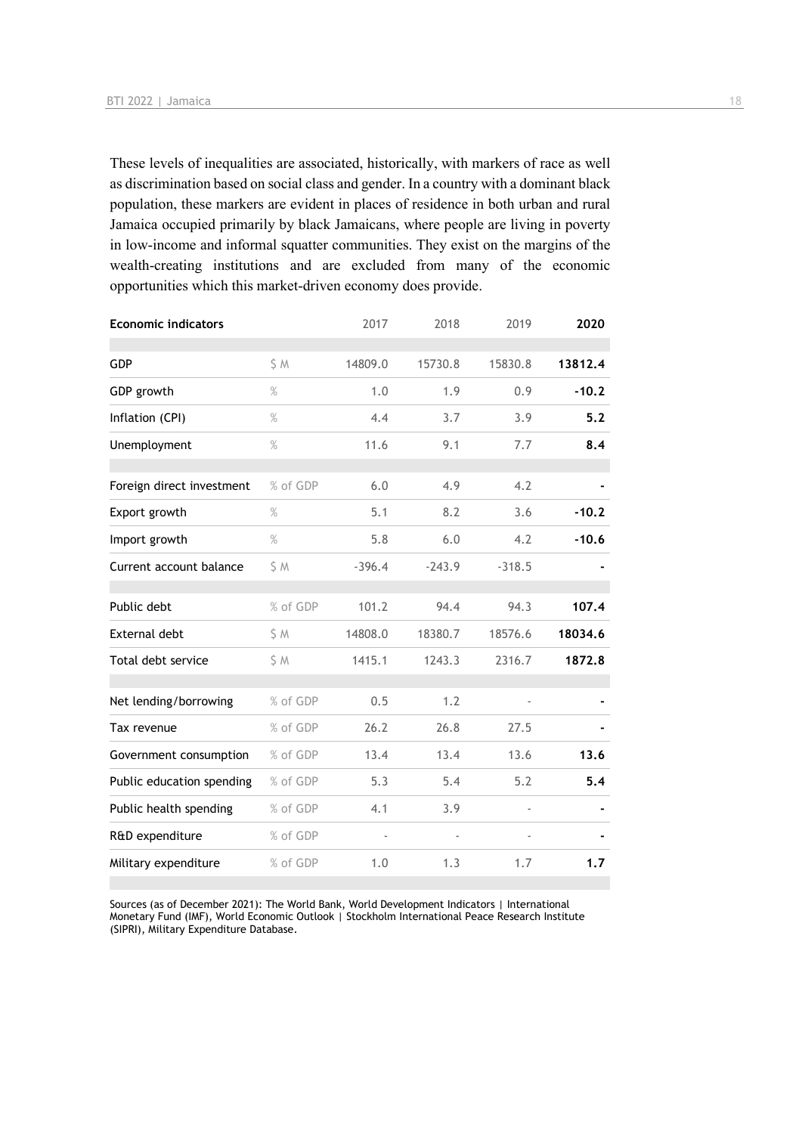These levels of inequalities are associated, historically, with markers of race as well as discrimination based on social class and gender. In a country with a dominant black population, these markers are evident in places of residence in both urban and rural Jamaica occupied primarily by black Jamaicans, where people are living in poverty in low-income and informal squatter communities. They exist on the margins of the wealth-creating institutions and are excluded from many of the economic opportunities which this market-driven economy does provide.

| <b>Economic indicators</b> |          | 2017     | 2018     | 2019     | 2020    |
|----------------------------|----------|----------|----------|----------|---------|
| GDP                        | \$M      | 14809.0  | 15730.8  | 15830.8  | 13812.4 |
| GDP growth                 | $\%$     | 1.0      | 1.9      | 0.9      | $-10.2$ |
| Inflation (CPI)            | $\%$     | 4.4      | 3.7      | 3.9      | 5.2     |
| Unemployment               | %        | 11.6     | 9.1      | 7.7      | 8.4     |
| Foreign direct investment  | % of GDP | 6.0      | 4.9      | 4.2      |         |
| Export growth              | %        | 5.1      | 8.2      | 3.6      | $-10.2$ |
| Import growth              | $\%$     | 5.8      | 6.0      | 4.2      | $-10.6$ |
| Current account balance    | S M      | $-396.4$ | $-243.9$ | $-318.5$ |         |
| Public debt                | % of GDP | 101.2    | 94.4     | 94.3     | 107.4   |
| <b>External debt</b>       | \$ M     | 14808.0  | 18380.7  | 18576.6  | 18034.6 |
| Total debt service         | \$ M     | 1415.1   | 1243.3   | 2316.7   | 1872.8  |
| Net lending/borrowing      | % of GDP | 0.5      | 1.2      |          |         |
| Tax revenue                | % of GDP | 26.2     | 26.8     | 27.5     |         |
| Government consumption     | % of GDP | 13.4     | 13.4     | 13.6     | 13.6    |
| Public education spending  | % of GDP | 5.3      | 5.4      | 5.2      | 5.4     |
| Public health spending     | % of GDP | 4.1      | 3.9      |          |         |
| R&D expenditure            | % of GDP |          |          |          |         |
| Military expenditure       | % of GDP | 1.0      | 1.3      | 1.7      | 1.7     |

Sources (as of December 2021): The World Bank, World Development Indicators | International Monetary Fund (IMF), World Economic Outlook | Stockholm International Peace Research Institute (SIPRI), Military Expenditure Database.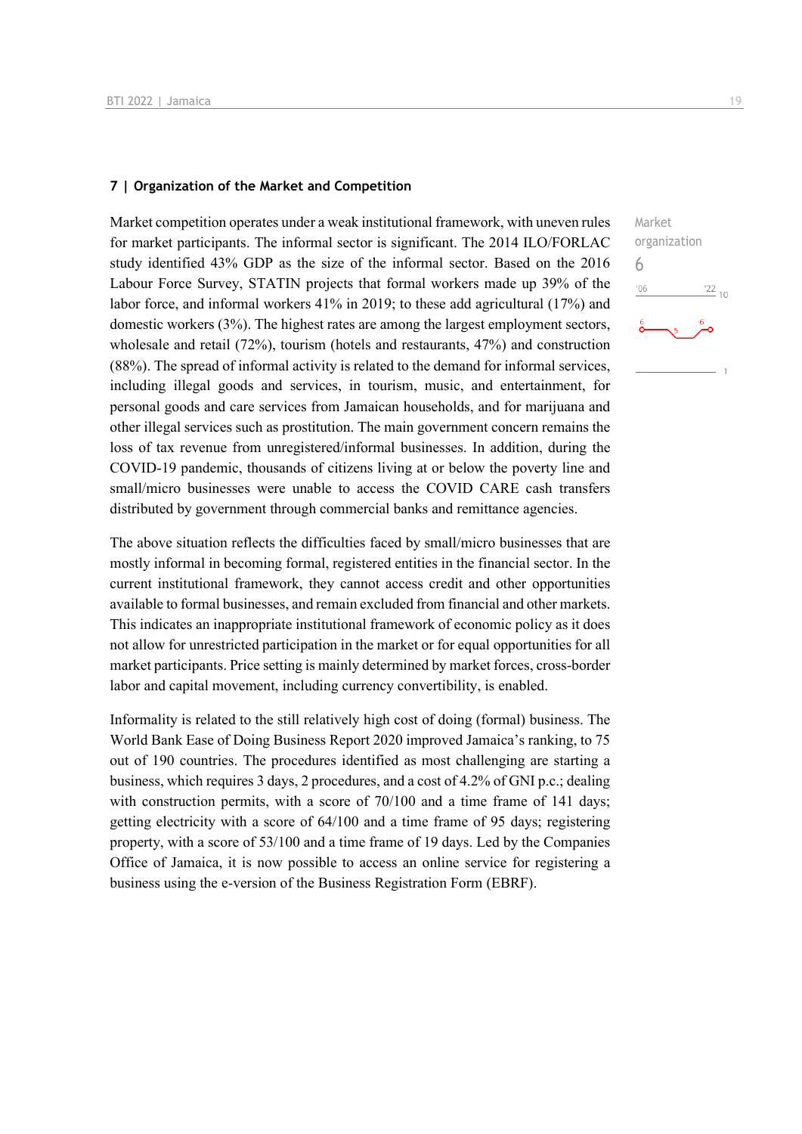#### **7 | Organization of the Market and Competition**

Market competition operates under a weak institutional framework, with uneven rules for market participants. The informal sector is significant. The 2014 ILO/FORLAC study identified 43% GDP as the size of the informal sector. Based on the 2016 Labour Force Survey, STATIN projects that formal workers made up 39% of the labor force, and informal workers 41% in 2019; to these add agricultural (17%) and domestic workers (3%). The highest rates are among the largest employment sectors, wholesale and retail (72%), tourism (hotels and restaurants, 47%) and construction (88%). The spread of informal activity is related to the demand for informal services, including illegal goods and services, in tourism, music, and entertainment, for personal goods and care services from Jamaican households, and for marijuana and other illegal services such as prostitution. The main government concern remains the loss of tax revenue from unregistered/informal businesses. In addition, during the COVID-19 pandemic, thousands of citizens living at or below the poverty line and small/micro businesses were unable to access the COVID CARE cash transfers distributed by government through commercial banks and remittance agencies.

The above situation reflects the difficulties faced by small/micro businesses that are mostly informal in becoming formal, registered entities in the financial sector. In the current institutional framework, they cannot access credit and other opportunities available to formal businesses, and remain excluded from financial and other markets. This indicates an inappropriate institutional framework of economic policy as it does not allow for unrestricted participation in the market or for equal opportunities for all market participants. Price setting is mainly determined by market forces, cross-border labor and capital movement, including currency convertibility, is enabled.

Informality is related to the still relatively high cost of doing (formal) business. The World Bank Ease of Doing Business Report 2020 improved Jamaica's ranking, to 75 out of 190 countries. The procedures identified as most challenging are starting a business, which requires 3 days, 2 procedures, and a cost of 4.2% of GNI p.c.; dealing with construction permits, with a score of 70/100 and a time frame of 141 days; getting electricity with a score of 64/100 and a time frame of 95 days; registering property, with a score of 53/100 and a time frame of 19 days. Led by the Companies Office of Jamaica, it is now possible to access an online service for registering a business using the e-version of the Business Registration Form (EBRF).

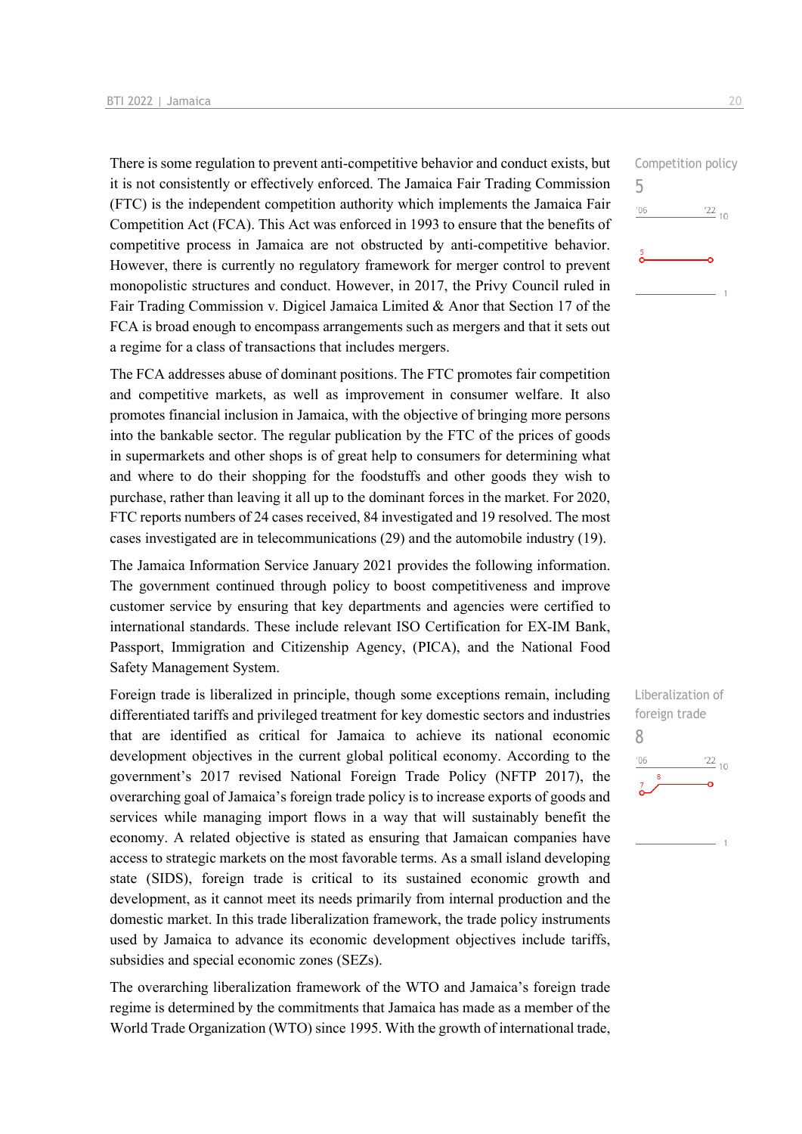There is some regulation to prevent anti-competitive behavior and conduct exists, but it is not consistently or effectively enforced. The Jamaica Fair Trading Commission (FTC) is the independent competition authority which implements the Jamaica Fair Competition Act (FCA). This Act was enforced in 1993 to ensure that the benefits of competitive process in Jamaica are not obstructed by anti-competitive behavior. However, there is currently no regulatory framework for merger control to prevent monopolistic structures and conduct. However, in 2017, the Privy Council ruled in Fair Trading Commission v. Digicel Jamaica Limited & Anor that Section 17 of the FCA is broad enough to encompass arrangements such as mergers and that it sets out a regime for a class of transactions that includes mergers.

The FCA addresses abuse of dominant positions. The FTC promotes fair competition and competitive markets, as well as improvement in consumer welfare. It also promotes financial inclusion in Jamaica, with the objective of bringing more persons into the bankable sector. The regular publication by the FTC of the prices of goods in supermarkets and other shops is of great help to consumers for determining what and where to do their shopping for the foodstuffs and other goods they wish to purchase, rather than leaving it all up to the dominant forces in the market. For 2020, FTC reports numbers of 24 cases received, 84 investigated and 19 resolved. The most cases investigated are in telecommunications (29) and the automobile industry (19).

The Jamaica Information Service January 2021 provides the following information. The government continued through policy to boost competitiveness and improve customer service by ensuring that key departments and agencies were certified to international standards. These include relevant ISO Certification for EX-IM Bank, Passport, Immigration and Citizenship Agency, (PICA), and the National Food Safety Management System.

Foreign trade is liberalized in principle, though some exceptions remain, including differentiated tariffs and privileged treatment for key domestic sectors and industries that are identified as critical for Jamaica to achieve its national economic development objectives in the current global political economy. According to the government's 2017 revised National Foreign Trade Policy (NFTP 2017), the overarching goal of Jamaica's foreign trade policy is to increase exports of goods and services while managing import flows in a way that will sustainably benefit the economy. A related objective is stated as ensuring that Jamaican companies have access to strategic markets on the most favorable terms. As a small island developing state (SIDS), foreign trade is critical to its sustained economic growth and development, as it cannot meet its needs primarily from internal production and the domestic market. In this trade liberalization framework, the trade policy instruments used by Jamaica to advance its economic development objectives include tariffs, subsidies and special economic zones (SEZs).

The overarching liberalization framework of the WTO and Jamaica's foreign trade regime is determined by the commitments that Jamaica has made as a member of the World Trade Organization (WTO) since 1995. With the growth of international trade,

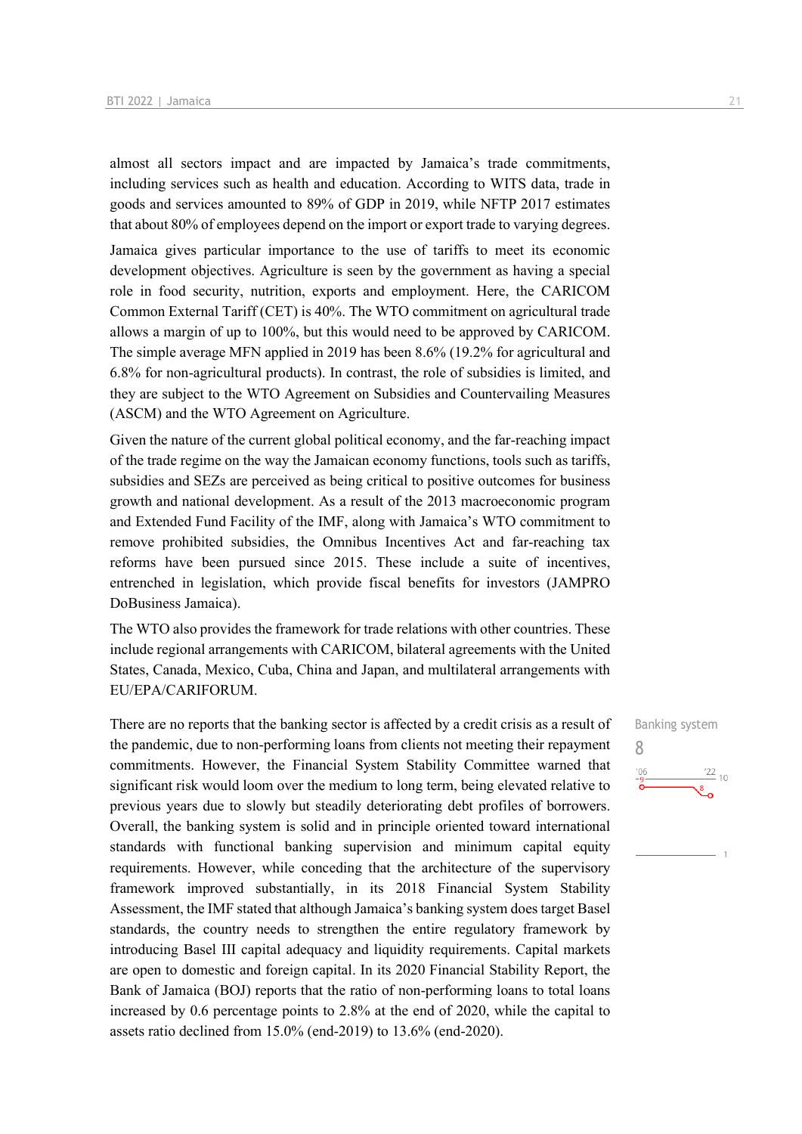almost all sectors impact and are impacted by Jamaica's trade commitments, including services such as health and education. According to WITS data, trade in goods and services amounted to 89% of GDP in 2019, while NFTP 2017 estimates that about 80% of employees depend on the import or export trade to varying degrees.

Jamaica gives particular importance to the use of tariffs to meet its economic development objectives. Agriculture is seen by the government as having a special role in food security, nutrition, exports and employment. Here, the CARICOM Common External Tariff (CET) is 40%. The WTO commitment on agricultural trade allows a margin of up to 100%, but this would need to be approved by CARICOM. The simple average MFN applied in 2019 has been 8.6% (19.2% for agricultural and 6.8% for non-agricultural products). In contrast, the role of subsidies is limited, and they are subject to the WTO Agreement on Subsidies and Countervailing Measures (ASCM) and the WTO Agreement on Agriculture.

Given the nature of the current global political economy, and the far-reaching impact of the trade regime on the way the Jamaican economy functions, tools such as tariffs, subsidies and SEZs are perceived as being critical to positive outcomes for business growth and national development. As a result of the 2013 macroeconomic program and Extended Fund Facility of the IMF, along with Jamaica's WTO commitment to remove prohibited subsidies, the Omnibus Incentives Act and far-reaching tax reforms have been pursued since 2015. These include a suite of incentives, entrenched in legislation, which provide fiscal benefits for investors (JAMPRO DoBusiness Jamaica).

The WTO also provides the framework for trade relations with other countries. These include regional arrangements with CARICOM, bilateral agreements with the United States, Canada, Mexico, Cuba, China and Japan, and multilateral arrangements with EU/EPA/CARIFORUM.

There are no reports that the banking sector is affected by a credit crisis as a result of the pandemic, due to non-performing loans from clients not meeting their repayment commitments. However, the Financial System Stability Committee warned that significant risk would loom over the medium to long term, being elevated relative to previous years due to slowly but steadily deteriorating debt profiles of borrowers. Overall, the banking system is solid and in principle oriented toward international standards with functional banking supervision and minimum capital equity requirements. However, while conceding that the architecture of the supervisory framework improved substantially, in its 2018 Financial System Stability Assessment, the IMF stated that although Jamaica's banking system does target Basel standards, the country needs to strengthen the entire regulatory framework by introducing Basel III capital adequacy and liquidity requirements. Capital markets are open to domestic and foreign capital. In its 2020 Financial Stability Report, the Bank of Jamaica (BOJ) reports that the ratio of non-performing loans to total loans increased by 0.6 percentage points to 2.8% at the end of 2020, while the capital to assets ratio declined from 15.0% (end-2019) to 13.6% (end-2020).

Banking system 8 $\frac{22}{10}$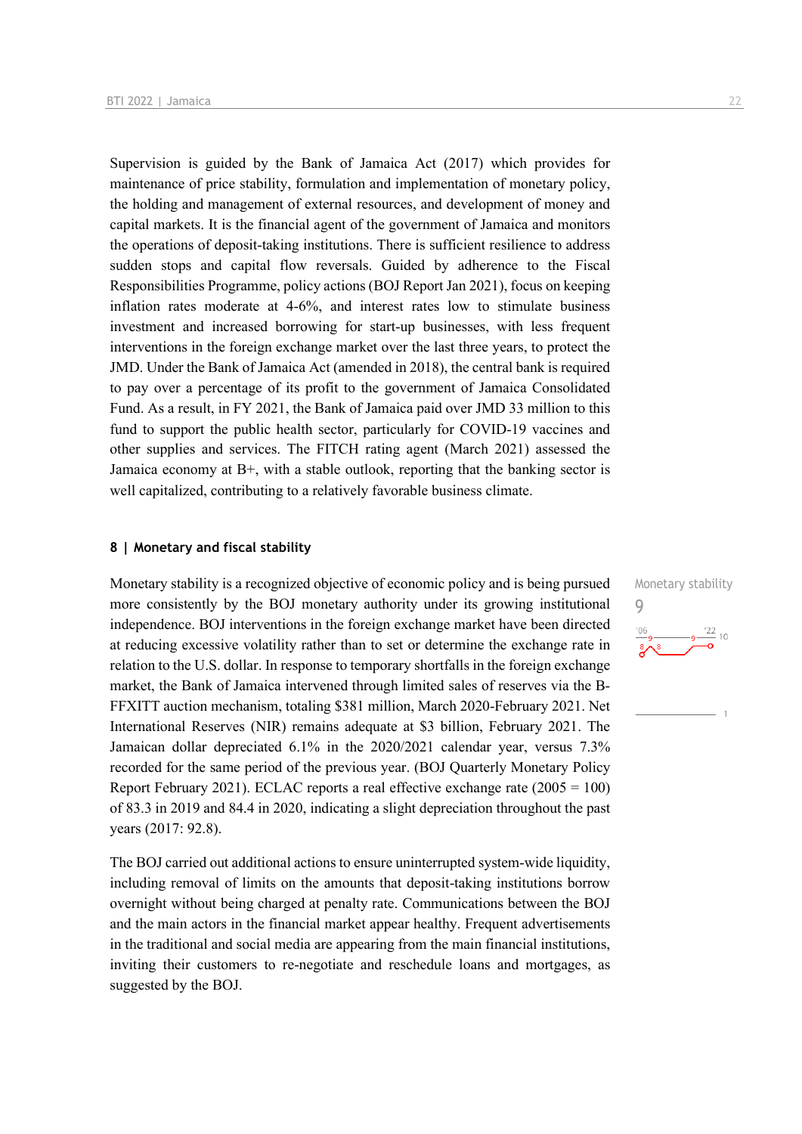Supervision is guided by the Bank of Jamaica Act (2017) which provides for maintenance of price stability, formulation and implementation of monetary policy, the holding and management of external resources, and development of money and capital markets. It is the financial agent of the government of Jamaica and monitors the operations of deposit-taking institutions. There is sufficient resilience to address sudden stops and capital flow reversals. Guided by adherence to the Fiscal Responsibilities Programme, policy actions (BOJ Report Jan 2021), focus on keeping inflation rates moderate at 4-6%, and interest rates low to stimulate business investment and increased borrowing for start-up businesses, with less frequent interventions in the foreign exchange market over the last three years, to protect the JMD. Under the Bank of Jamaica Act (amended in 2018), the central bank is required to pay over a percentage of its profit to the government of Jamaica Consolidated Fund. As a result, in FY 2021, the Bank of Jamaica paid over JMD 33 million to this fund to support the public health sector, particularly for COVID-19 vaccines and other supplies and services. The FITCH rating agent (March 2021) assessed the Jamaica economy at  $B<sup>+</sup>$ , with a stable outlook, reporting that the banking sector is well capitalized, contributing to a relatively favorable business climate.

#### **8 | Monetary and fiscal stability**

Monetary stability is a recognized objective of economic policy and is being pursued more consistently by the BOJ monetary authority under its growing institutional independence. BOJ interventions in the foreign exchange market have been directed at reducing excessive volatility rather than to set or determine the exchange rate in relation to the U.S. dollar. In response to temporary shortfalls in the foreign exchange market, the Bank of Jamaica intervened through limited sales of reserves via the B-FFXITT auction mechanism, totaling \$381 million, March 2020-February 2021. Net International Reserves (NIR) remains adequate at \$3 billion, February 2021. The Jamaican dollar depreciated 6.1% in the 2020/2021 calendar year, versus 7.3% recorded for the same period of the previous year. (BOJ Quarterly Monetary Policy Report February 2021). ECLAC reports a real effective exchange rate  $(2005 = 100)$ of 83.3 in 2019 and 84.4 in 2020, indicating a slight depreciation throughout the past years (2017: 92.8).

The BOJ carried out additional actions to ensure uninterrupted system-wide liquidity, including removal of limits on the amounts that deposit-taking institutions borrow overnight without being charged at penalty rate. Communications between the BOJ and the main actors in the financial market appear healthy. Frequent advertisements in the traditional and social media are appearing from the main financial institutions, inviting their customers to re-negotiate and reschedule loans and mortgages, as suggested by the BOJ.

Monetary stability 9 $\frac{22}{10}$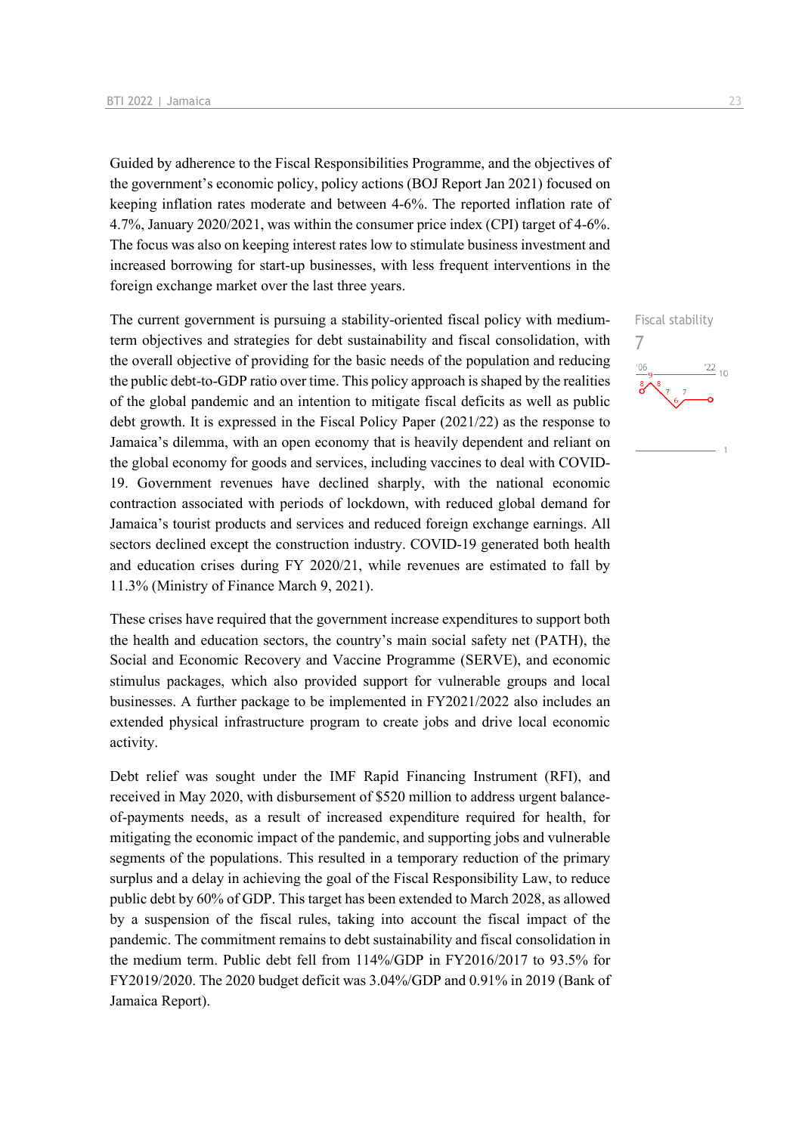Guided by adherence to the Fiscal Responsibilities Programme, and the objectives of the government's economic policy, policy actions (BOJ Report Jan 2021) focused on keeping inflation rates moderate and between 4-6%. The reported inflation rate of 4.7%, January 2020/2021, was within the consumer price index (CPI) target of 4-6%. The focus was also on keeping interest rates low to stimulate business investment and increased borrowing for start-up businesses, with less frequent interventions in the foreign exchange market over the last three years.

The current government is pursuing a stability-oriented fiscal policy with mediumterm objectives and strategies for debt sustainability and fiscal consolidation, with the overall objective of providing for the basic needs of the population and reducing the public debt-to-GDP ratio over time. This policy approach is shaped by the realities of the global pandemic and an intention to mitigate fiscal deficits as well as public debt growth. It is expressed in the Fiscal Policy Paper (2021/22) as the response to Jamaica's dilemma, with an open economy that is heavily dependent and reliant on the global economy for goods and services, including vaccines to deal with COVID-19. Government revenues have declined sharply, with the national economic contraction associated with periods of lockdown, with reduced global demand for Jamaica's tourist products and services and reduced foreign exchange earnings. All sectors declined except the construction industry. COVID-19 generated both health and education crises during FY 2020/21, while revenues are estimated to fall by 11.3% (Ministry of Finance March 9, 2021).

These crises have required that the government increase expenditures to support both the health and education sectors, the country's main social safety net (PATH), the Social and Economic Recovery and Vaccine Programme (SERVE), and economic stimulus packages, which also provided support for vulnerable groups and local businesses. A further package to be implemented in FY2021/2022 also includes an extended physical infrastructure program to create jobs and drive local economic activity.

Debt relief was sought under the IMF Rapid Financing Instrument (RFI), and received in May 2020, with disbursement of \$520 million to address urgent balanceof-payments needs, as a result of increased expenditure required for health, for mitigating the economic impact of the pandemic, and supporting jobs and vulnerable segments of the populations. This resulted in a temporary reduction of the primary surplus and a delay in achieving the goal of the Fiscal Responsibility Law, to reduce public debt by 60% of GDP. This target has been extended to March 2028, as allowed by a suspension of the fiscal rules, taking into account the fiscal impact of the pandemic. The commitment remains to debt sustainability and fiscal consolidation in the medium term. Public debt fell from 114%/GDP in FY2016/2017 to 93.5% for FY2019/2020. The 2020 budget deficit was 3.04%/GDP and 0.91% in 2019 (Bank of Jamaica Report).

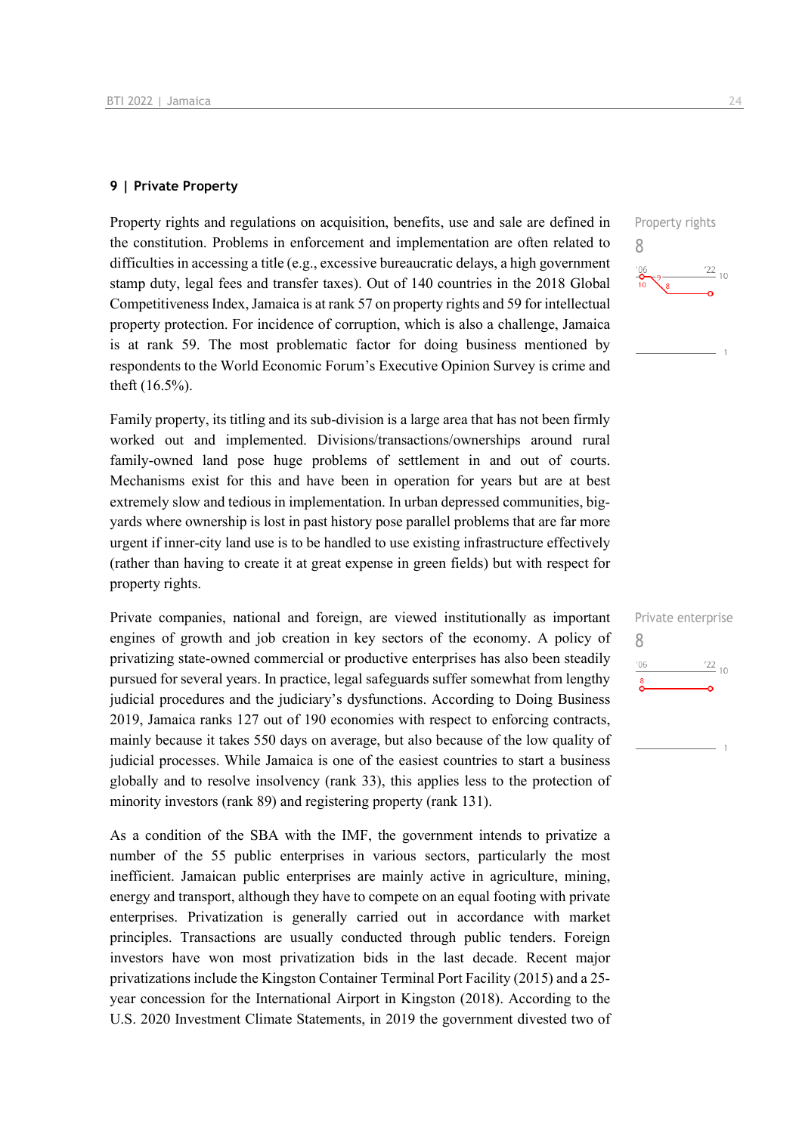#### **9 | Private Property**

Property rights and regulations on acquisition, benefits, use and sale are defined in the constitution. Problems in enforcement and implementation are often related to difficulties in accessing a title (e.g., excessive bureaucratic delays, a high government stamp duty, legal fees and transfer taxes). Out of 140 countries in the 2018 Global Competitiveness Index, Jamaica is at rank 57 on property rights and 59 for intellectual property protection. For incidence of corruption, which is also a challenge, Jamaica is at rank 59. The most problematic factor for doing business mentioned by respondents to the World Economic Forum's Executive Opinion Survey is crime and theft (16.5%).

Family property, its titling and its sub-division is a large area that has not been firmly worked out and implemented. Divisions/transactions/ownerships around rural family-owned land pose huge problems of settlement in and out of courts. Mechanisms exist for this and have been in operation for years but are at best extremely slow and tedious in implementation. In urban depressed communities, bigyards where ownership is lost in past history pose parallel problems that are far more urgent if inner-city land use is to be handled to use existing infrastructure effectively (rather than having to create it at great expense in green fields) but with respect for property rights.

Private companies, national and foreign, are viewed institutionally as important engines of growth and job creation in key sectors of the economy. A policy of privatizing state-owned commercial or productive enterprises has also been steadily pursued for several years. In practice, legal safeguards suffer somewhat from lengthy judicial procedures and the judiciary's dysfunctions. According to Doing Business 2019, Jamaica ranks 127 out of 190 economies with respect to enforcing contracts, mainly because it takes 550 days on average, but also because of the low quality of judicial processes. While Jamaica is one of the easiest countries to start a business globally and to resolve insolvency (rank 33), this applies less to the protection of minority investors (rank 89) and registering property (rank 131).

As a condition of the SBA with the IMF, the government intends to privatize a number of the 55 public enterprises in various sectors, particularly the most inefficient. Jamaican public enterprises are mainly active in agriculture, mining, energy and transport, although they have to compete on an equal footing with private enterprises. Privatization is generally carried out in accordance with market principles. Transactions are usually conducted through public tenders. Foreign investors have won most privatization bids in the last decade. Recent major privatizations include the Kingston Container Terminal Port Facility (2015) and a 25 year concession for the International Airport in Kingston (2018). According to the U.S. 2020 Investment Climate Statements, in 2019 the government divested two of



|     | Private enterprise |
|-----|--------------------|
| Χ   |                    |
| '06 | $\frac{22}{10}$    |
| 8   |                    |
|     |                    |
|     |                    |
|     |                    |
|     |                    |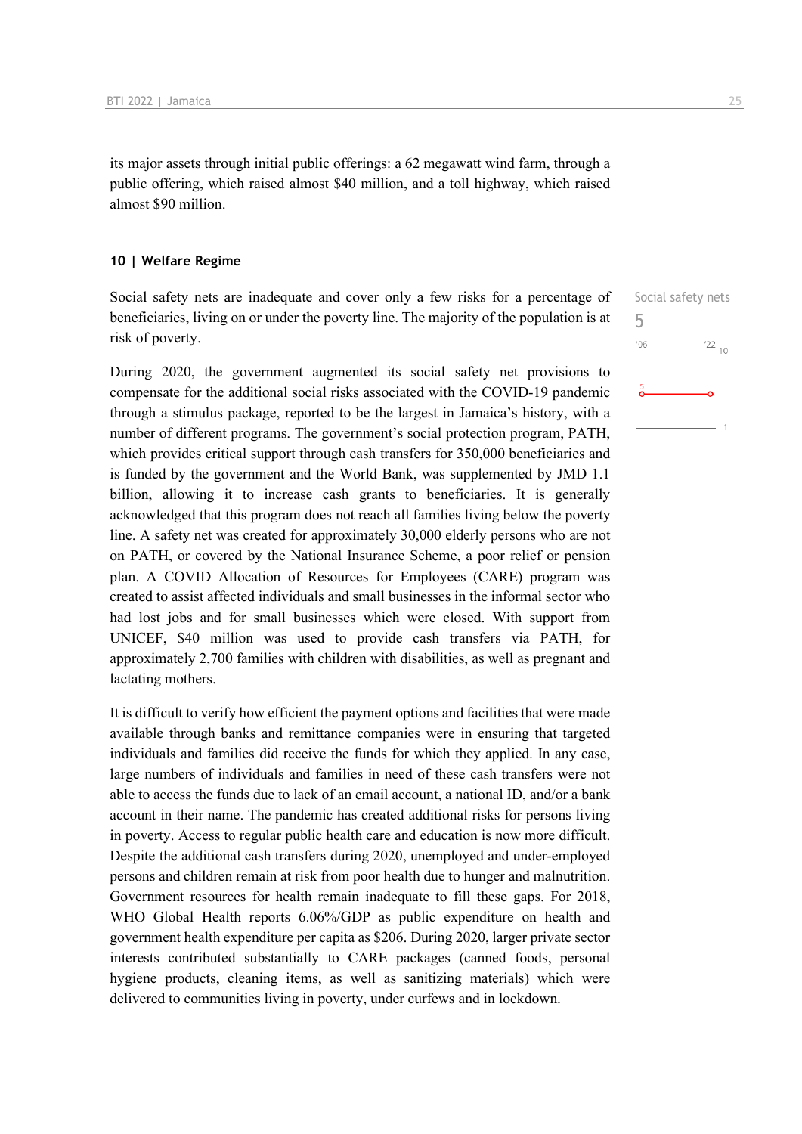its major assets through initial public offerings: a 62 megawatt wind farm, through a public offering, which raised almost \$40 million, and a toll highway, which raised almost \$90 million.

#### **10 | Welfare Regime**

Social safety nets are inadequate and cover only a few risks for a percentage of beneficiaries, living on or under the poverty line. The majority of the population is at risk of poverty.

During 2020, the government augmented its social safety net provisions to compensate for the additional social risks associated with the COVID-19 pandemic through a stimulus package, reported to be the largest in Jamaica's history, with a number of different programs. The government's social protection program, PATH, which provides critical support through cash transfers for 350,000 beneficiaries and is funded by the government and the World Bank, was supplemented by JMD 1.1 billion, allowing it to increase cash grants to beneficiaries. It is generally acknowledged that this program does not reach all families living below the poverty line. A safety net was created for approximately 30,000 elderly persons who are not on PATH, or covered by the National Insurance Scheme, a poor relief or pension plan. A COVID Allocation of Resources for Employees (CARE) program was created to assist affected individuals and small businesses in the informal sector who had lost jobs and for small businesses which were closed. With support from UNICEF, \$40 million was used to provide cash transfers via PATH, for approximately 2,700 families with children with disabilities, as well as pregnant and lactating mothers.

It is difficult to verify how efficient the payment options and facilities that were made available through banks and remittance companies were in ensuring that targeted individuals and families did receive the funds for which they applied. In any case, large numbers of individuals and families in need of these cash transfers were not able to access the funds due to lack of an email account, a national ID, and/or a bank account in their name. The pandemic has created additional risks for persons living in poverty. Access to regular public health care and education is now more difficult. Despite the additional cash transfers during 2020, unemployed and under-employed persons and children remain at risk from poor health due to hunger and malnutrition. Government resources for health remain inadequate to fill these gaps. For 2018, WHO Global Health reports 6.06%/GDP as public expenditure on health and government health expenditure per capita as \$206. During 2020, larger private sector interests contributed substantially to CARE packages (canned foods, personal hygiene products, cleaning items, as well as sanitizing materials) which were delivered to communities living in poverty, under curfews and in lockdown.

Social safety nets  $\frac{22}{10}$ 

5

 $'06$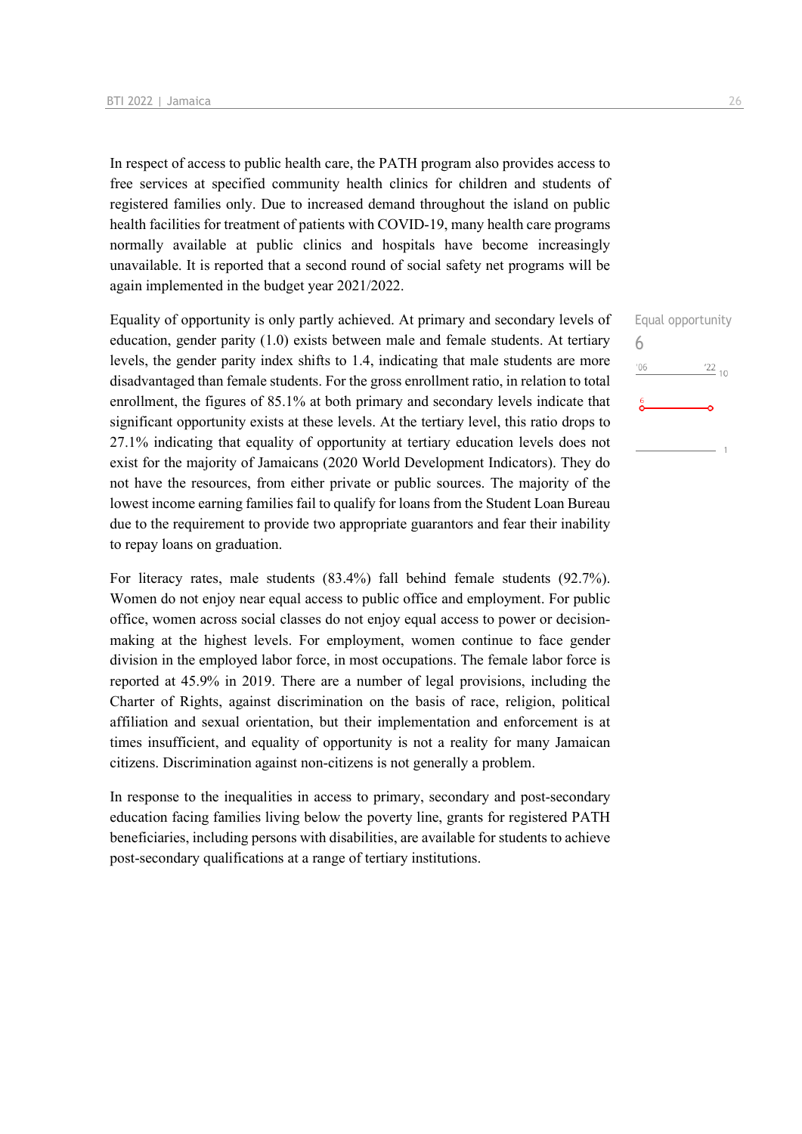In respect of access to public health care, the PATH program also provides access to free services at specified community health clinics for children and students of registered families only. Due to increased demand throughout the island on public health facilities for treatment of patients with COVID-19, many health care programs normally available at public clinics and hospitals have become increasingly unavailable. It is reported that a second round of social safety net programs will be again implemented in the budget year 2021/2022.

Equality of opportunity is only partly achieved. At primary and secondary levels of education, gender parity (1.0) exists between male and female students. At tertiary levels, the gender parity index shifts to 1.4, indicating that male students are more disadvantaged than female students. For the gross enrollment ratio, in relation to total enrollment, the figures of 85.1% at both primary and secondary levels indicate that significant opportunity exists at these levels. At the tertiary level, this ratio drops to 27.1% indicating that equality of opportunity at tertiary education levels does not exist for the majority of Jamaicans (2020 World Development Indicators). They do not have the resources, from either private or public sources. The majority of the lowest income earning families fail to qualify for loans from the Student Loan Bureau due to the requirement to provide two appropriate guarantors and fear their inability to repay loans on graduation.

For literacy rates, male students (83.4%) fall behind female students (92.7%). Women do not enjoy near equal access to public office and employment. For public office, women across social classes do not enjoy equal access to power or decisionmaking at the highest levels. For employment, women continue to face gender division in the employed labor force, in most occupations. The female labor force is reported at 45.9% in 2019. There are a number of legal provisions, including the Charter of Rights, against discrimination on the basis of race, religion, political affiliation and sexual orientation, but their implementation and enforcement is at times insufficient, and equality of opportunity is not a reality for many Jamaican citizens. Discrimination against non-citizens is not generally a problem.

In response to the inequalities in access to primary, secondary and post-secondary education facing families living below the poverty line, grants for registered PATH beneficiaries, including persons with disabilities, are available for students to achieve post-secondary qualifications at a range of tertiary institutions.

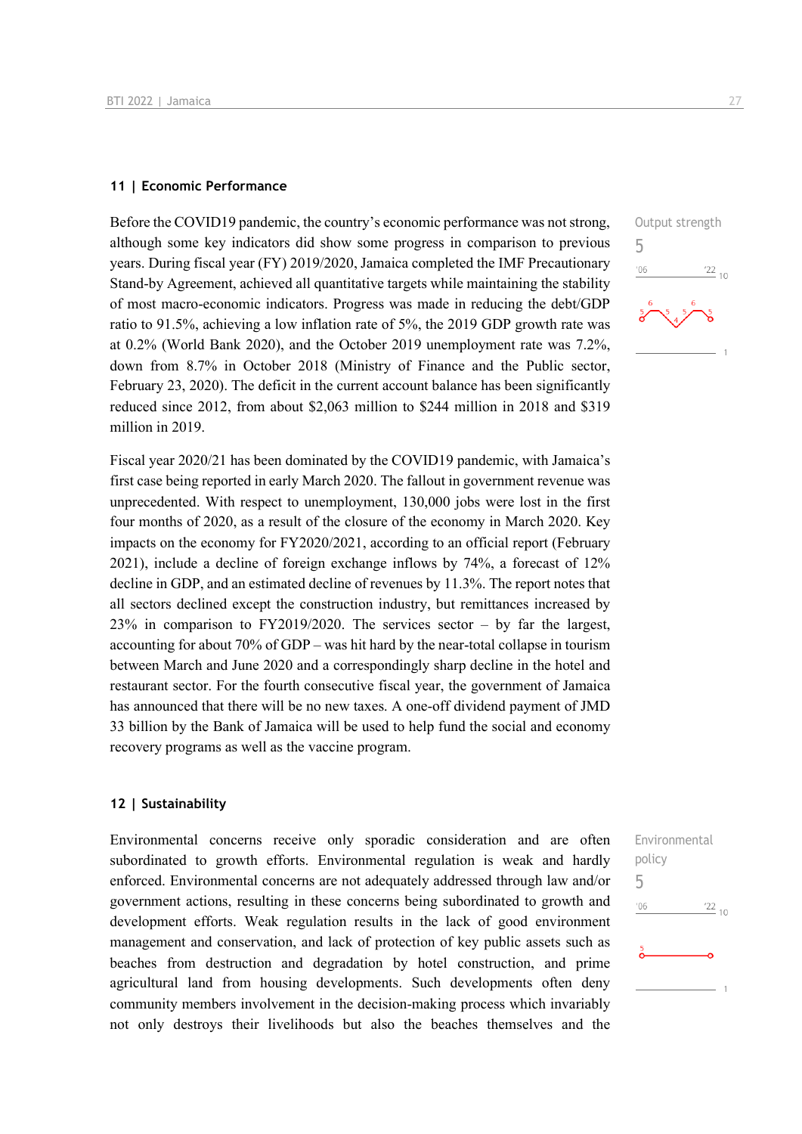#### **11 | Economic Performance**

Before the COVID19 pandemic, the country's economic performance was not strong, although some key indicators did show some progress in comparison to previous years. During fiscal year (FY) 2019/2020, Jamaica completed the IMF Precautionary Stand-by Agreement, achieved all quantitative targets while maintaining the stability of most macro-economic indicators. Progress was made in reducing the debt/GDP ratio to 91.5%, achieving a low inflation rate of 5%, the 2019 GDP growth rate was at 0.2% (World Bank 2020), and the October 2019 unemployment rate was 7.2%, down from 8.7% in October 2018 (Ministry of Finance and the Public sector, February 23, 2020). The deficit in the current account balance has been significantly reduced since 2012, from about \$2,063 million to \$244 million in 2018 and \$319 million in 2019.

Fiscal year 2020/21 has been dominated by the COVID19 pandemic, with Jamaica's first case being reported in early March 2020. The fallout in government revenue was unprecedented. With respect to unemployment, 130,000 jobs were lost in the first four months of 2020, as a result of the closure of the economy in March 2020. Key impacts on the economy for FY2020/2021, according to an official report (February 2021), include a decline of foreign exchange inflows by 74%, a forecast of 12% decline in GDP, and an estimated decline of revenues by 11.3%. The report notes that all sectors declined except the construction industry, but remittances increased by 23% in comparison to FY2019/2020. The services sector – by far the largest, accounting for about 70% of GDP – was hit hard by the near-total collapse in tourism between March and June 2020 and a correspondingly sharp decline in the hotel and restaurant sector. For the fourth consecutive fiscal year, the government of Jamaica has announced that there will be no new taxes. A one-off dividend payment of JMD 33 billion by the Bank of Jamaica will be used to help fund the social and economy recovery programs as well as the vaccine program.

#### **12 | Sustainability**

Environmental concerns receive only sporadic consideration and are often subordinated to growth efforts. Environmental regulation is weak and hardly enforced. Environmental concerns are not adequately addressed through law and/or government actions, resulting in these concerns being subordinated to growth and development efforts. Weak regulation results in the lack of good environment management and conservation, and lack of protection of key public assets such as beaches from destruction and degradation by hotel construction, and prime agricultural land from housing developments. Such developments often deny community members involvement in the decision-making process which invariably not only destroys their livelihoods but also the beaches themselves and the



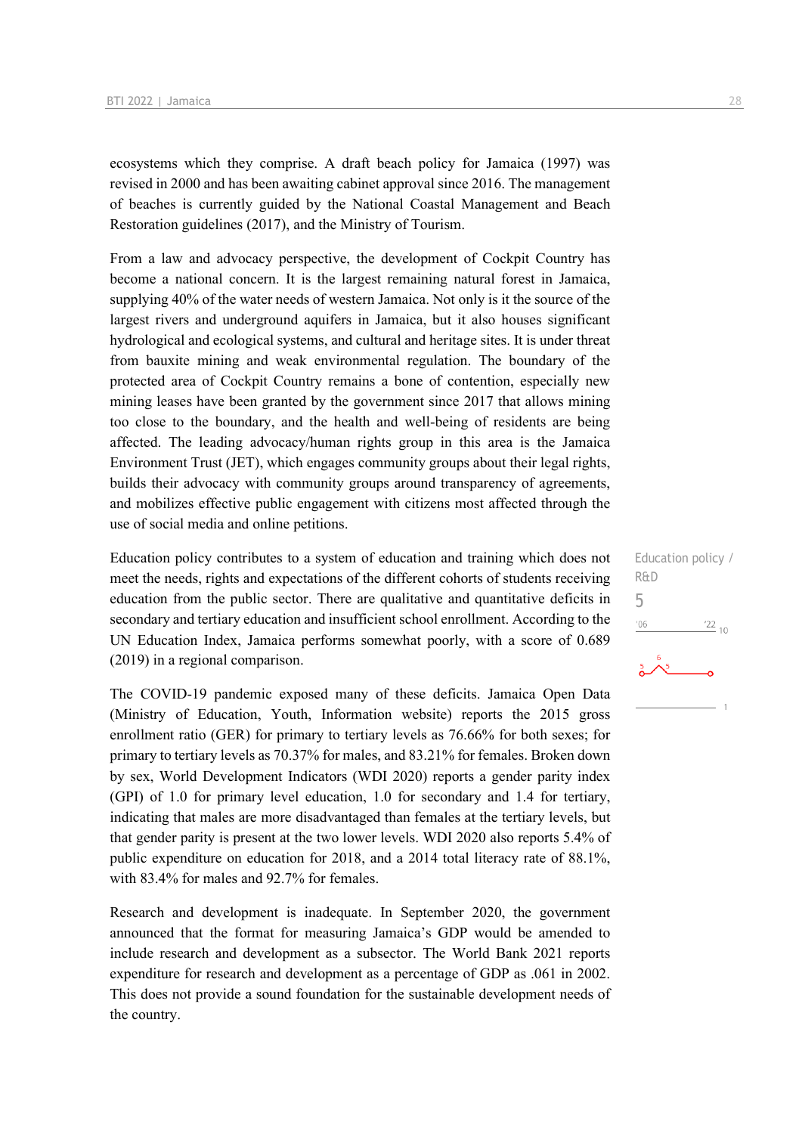ecosystems which they comprise. A draft beach policy for Jamaica (1997) was revised in 2000 and has been awaiting cabinet approval since 2016. The management of beaches is currently guided by the National Coastal Management and Beach Restoration guidelines (2017), and the Ministry of Tourism.

From a law and advocacy perspective, the development of Cockpit Country has become a national concern. It is the largest remaining natural forest in Jamaica, supplying 40% of the water needs of western Jamaica. Not only is it the source of the largest rivers and underground aquifers in Jamaica, but it also houses significant hydrological and ecological systems, and cultural and heritage sites. It is under threat from bauxite mining and weak environmental regulation. The boundary of the protected area of Cockpit Country remains a bone of contention, especially new mining leases have been granted by the government since 2017 that allows mining too close to the boundary, and the health and well-being of residents are being affected. The leading advocacy/human rights group in this area is the Jamaica Environment Trust (JET), which engages community groups about their legal rights, builds their advocacy with community groups around transparency of agreements, and mobilizes effective public engagement with citizens most affected through the use of social media and online petitions.

Education policy contributes to a system of education and training which does not meet the needs, rights and expectations of the different cohorts of students receiving education from the public sector. There are qualitative and quantitative deficits in secondary and tertiary education and insufficient school enrollment. According to the UN Education Index, Jamaica performs somewhat poorly, with a score of 0.689 (2019) in a regional comparison.

The COVID-19 pandemic exposed many of these deficits. Jamaica Open Data (Ministry of Education, Youth, Information website) reports the 2015 gross enrollment ratio (GER) for primary to tertiary levels as 76.66% for both sexes; for primary to tertiary levels as 70.37% for males, and 83.21% for females. Broken down by sex, World Development Indicators (WDI 2020) reports a gender parity index (GPI) of 1.0 for primary level education, 1.0 for secondary and 1.4 for tertiary, indicating that males are more disadvantaged than females at the tertiary levels, but that gender parity is present at the two lower levels. WDI 2020 also reports 5.4% of public expenditure on education for 2018, and a 2014 total literacy rate of 88.1%, with 83.4% for males and 92.7% for females.

Research and development is inadequate. In September 2020, the government announced that the format for measuring Jamaica's GDP would be amended to include research and development as a subsector. The World Bank 2021 reports expenditure for research and development as a percentage of GDP as .061 in 2002. This does not provide a sound foundation for the sustainable development needs of the country.

Education policy / R&D 5 $\frac{22}{10}$ '06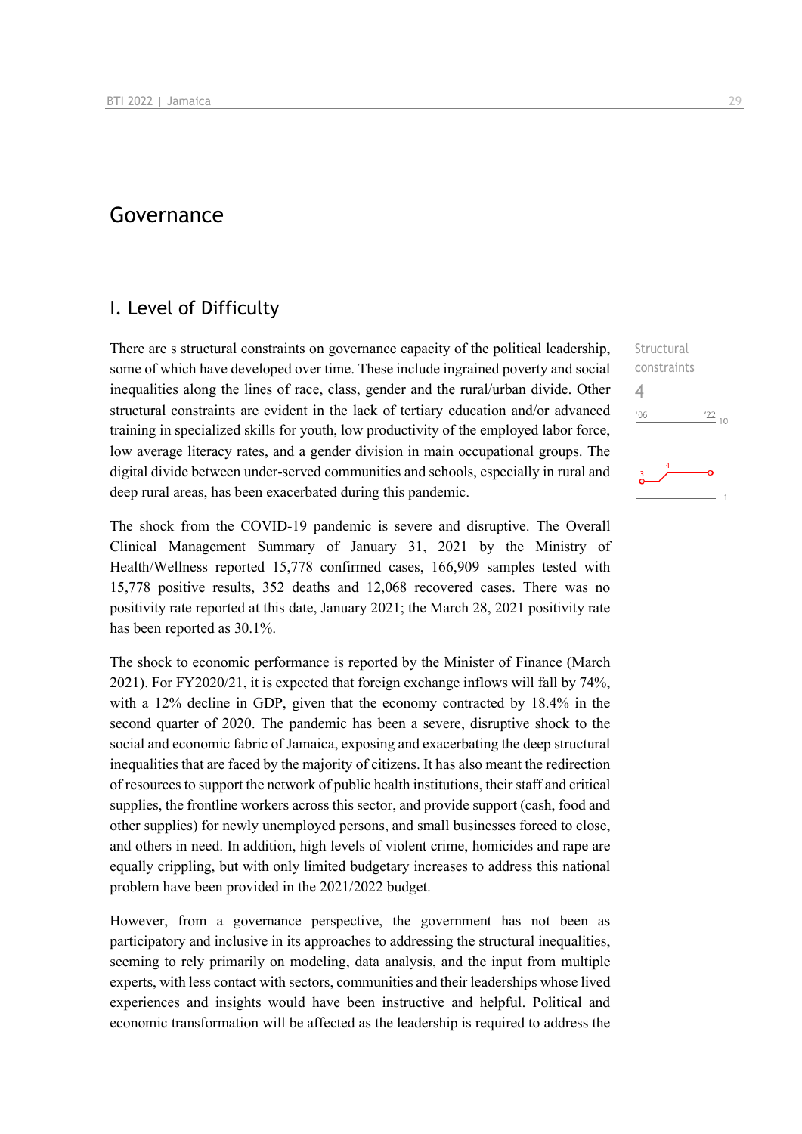## Governance

## I. Level of Difficulty

There are s structural constraints on governance capacity of the political leadership, some of which have developed over time. These include ingrained poverty and social inequalities along the lines of race, class, gender and the rural/urban divide. Other structural constraints are evident in the lack of tertiary education and/or advanced training in specialized skills for youth, low productivity of the employed labor force, low average literacy rates, and a gender division in main occupational groups. The digital divide between under-served communities and schools, especially in rural and deep rural areas, has been exacerbated during this pandemic.

The shock from the COVID-19 pandemic is severe and disruptive. The Overall Clinical Management Summary of January 31, 2021 by the Ministry of Health/Wellness reported 15,778 confirmed cases, 166,909 samples tested with 15,778 positive results, 352 deaths and 12,068 recovered cases. There was no positivity rate reported at this date, January 2021; the March 28, 2021 positivity rate has been reported as 30.1%.

The shock to economic performance is reported by the Minister of Finance (March 2021). For FY2020/21, it is expected that foreign exchange inflows will fall by 74%, with a 12% decline in GDP, given that the economy contracted by 18.4% in the second quarter of 2020. The pandemic has been a severe, disruptive shock to the social and economic fabric of Jamaica, exposing and exacerbating the deep structural inequalities that are faced by the majority of citizens. It has also meant the redirection of resources to support the network of public health institutions, their staff and critical supplies, the frontline workers across this sector, and provide support (cash, food and other supplies) for newly unemployed persons, and small businesses forced to close, and others in need. In addition, high levels of violent crime, homicides and rape are equally crippling, but with only limited budgetary increases to address this national problem have been provided in the 2021/2022 budget.

However, from a governance perspective, the government has not been as participatory and inclusive in its approaches to addressing the structural inequalities, seeming to rely primarily on modeling, data analysis, and the input from multiple experts, with less contact with sectors, communities and their leaderships whose lived experiences and insights would have been instructive and helpful. Political and economic transformation will be affected as the leadership is required to address the

**Structural** constraints 4 $106$  $\frac{22}{10}$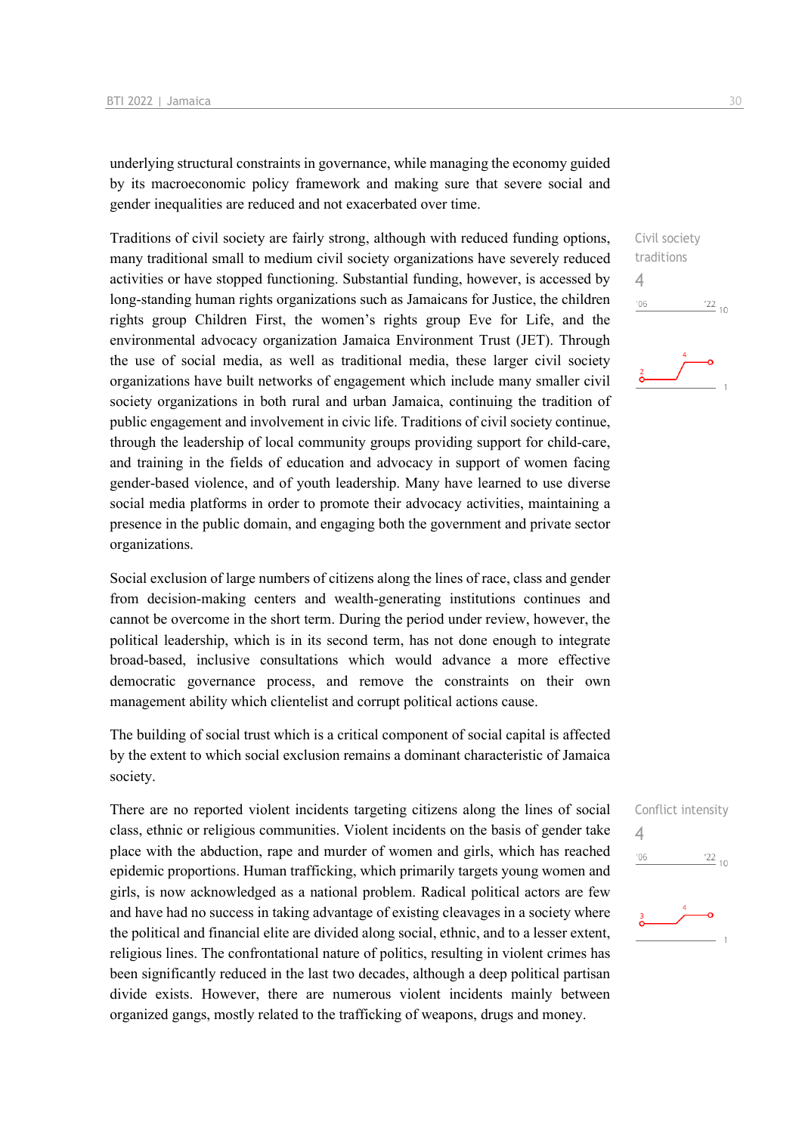underlying structural constraints in governance, while managing the economy guided by its macroeconomic policy framework and making sure that severe social and gender inequalities are reduced and not exacerbated over time.

Traditions of civil society are fairly strong, although with reduced funding options, many traditional small to medium civil society organizations have severely reduced activities or have stopped functioning. Substantial funding, however, is accessed by long-standing human rights organizations such as Jamaicans for Justice, the children rights group Children First, the women's rights group Eve for Life, and the environmental advocacy organization Jamaica Environment Trust (JET). Through the use of social media, as well as traditional media, these larger civil society organizations have built networks of engagement which include many smaller civil society organizations in both rural and urban Jamaica, continuing the tradition of public engagement and involvement in civic life. Traditions of civil society continue, through the leadership of local community groups providing support for child-care, and training in the fields of education and advocacy in support of women facing gender-based violence, and of youth leadership. Many have learned to use diverse social media platforms in order to promote their advocacy activities, maintaining a presence in the public domain, and engaging both the government and private sector organizations.

Social exclusion of large numbers of citizens along the lines of race, class and gender from decision-making centers and wealth-generating institutions continues and cannot be overcome in the short term. During the period under review, however, the political leadership, which is in its second term, has not done enough to integrate broad-based, inclusive consultations which would advance a more effective democratic governance process, and remove the constraints on their own management ability which clientelist and corrupt political actions cause.

The building of social trust which is a critical component of social capital is affected by the extent to which social exclusion remains a dominant characteristic of Jamaica society.

There are no reported violent incidents targeting citizens along the lines of social class, ethnic or religious communities. Violent incidents on the basis of gender take place with the abduction, rape and murder of women and girls, which has reached epidemic proportions. Human trafficking, which primarily targets young women and girls, is now acknowledged as a national problem. Radical political actors are few and have had no success in taking advantage of existing cleavages in a society where the political and financial elite are divided along social, ethnic, and to a lesser extent, religious lines. The confrontational nature of politics, resulting in violent crimes has been significantly reduced in the last two decades, although a deep political partisan divide exists. However, there are numerous violent incidents mainly between organized gangs, mostly related to the trafficking of weapons, drugs and money.



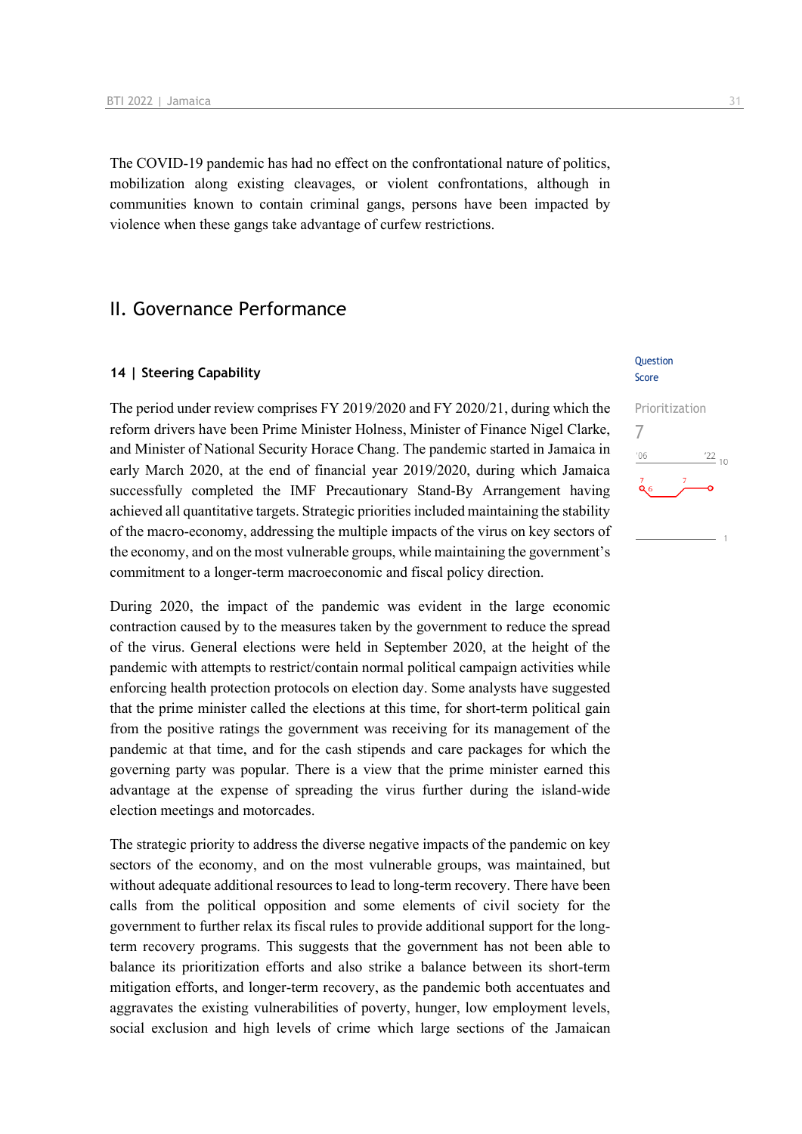The COVID-19 pandemic has had no effect on the confrontational nature of politics, mobilization along existing cleavages, or violent confrontations, although in communities known to contain criminal gangs, persons have been impacted by violence when these gangs take advantage of curfew restrictions.

## II. Governance Performance

#### **14 | Steering Capability**

The period under review comprises FY 2019/2020 and FY 2020/21, during which the reform drivers have been Prime Minister Holness, Minister of Finance Nigel Clarke, and Minister of National Security Horace Chang. The pandemic started in Jamaica in early March 2020, at the end of financial year 2019/2020, during which Jamaica successfully completed the IMF Precautionary Stand-By Arrangement having achieved all quantitative targets. Strategic priorities included maintaining the stability of the macro-economy, addressing the multiple impacts of the virus on key sectors of the economy, and on the most vulnerable groups, while maintaining the government's commitment to a longer-term macroeconomic and fiscal policy direction.

During 2020, the impact of the pandemic was evident in the large economic contraction caused by to the measures taken by the government to reduce the spread of the virus. General elections were held in September 2020, at the height of the pandemic with attempts to restrict/contain normal political campaign activities while enforcing health protection protocols on election day. Some analysts have suggested that the prime minister called the elections at this time, for short-term political gain from the positive ratings the government was receiving for its management of the pandemic at that time, and for the cash stipends and care packages for which the governing party was popular. There is a view that the prime minister earned this advantage at the expense of spreading the virus further during the island-wide election meetings and motorcades.

The strategic priority to address the diverse negative impacts of the pandemic on key sectors of the economy, and on the most vulnerable groups, was maintained, but without adequate additional resources to lead to long-term recovery. There have been calls from the political opposition and some elements of civil society for the government to further relax its fiscal rules to provide additional support for the longterm recovery programs. This suggests that the government has not been able to balance its prioritization efforts and also strike a balance between its short-term mitigation efforts, and longer-term recovery, as the pandemic both accentuates and aggravates the existing vulnerabilities of poverty, hunger, low employment levels, social exclusion and high levels of crime which large sections of the Jamaican

#### **Ouestion** Score

Prioritization 7 $06'$  $\frac{22}{10}$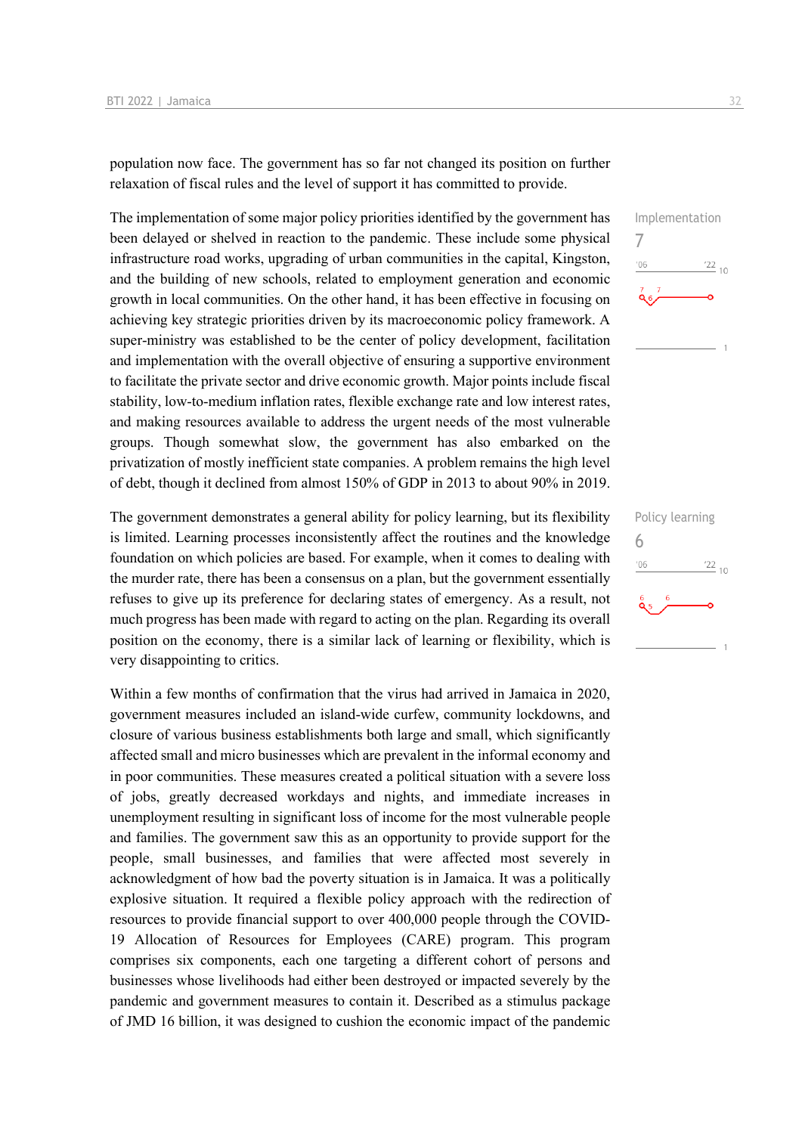population now face. The government has so far not changed its position on further relaxation of fiscal rules and the level of support it has committed to provide.

The implementation of some major policy priorities identified by the government has been delayed or shelved in reaction to the pandemic. These include some physical infrastructure road works, upgrading of urban communities in the capital, Kingston, and the building of new schools, related to employment generation and economic growth in local communities. On the other hand, it has been effective in focusing on achieving key strategic priorities driven by its macroeconomic policy framework. A super-ministry was established to be the center of policy development, facilitation and implementation with the overall objective of ensuring a supportive environment to facilitate the private sector and drive economic growth. Major points include fiscal stability, low-to-medium inflation rates, flexible exchange rate and low interest rates, and making resources available to address the urgent needs of the most vulnerable groups. Though somewhat slow, the government has also embarked on the privatization of mostly inefficient state companies. A problem remains the high level of debt, though it declined from almost 150% of GDP in 2013 to about 90% in 2019.

The government demonstrates a general ability for policy learning, but its flexibility is limited. Learning processes inconsistently affect the routines and the knowledge foundation on which policies are based. For example, when it comes to dealing with the murder rate, there has been a consensus on a plan, but the government essentially refuses to give up its preference for declaring states of emergency. As a result, not much progress has been made with regard to acting on the plan. Regarding its overall position on the economy, there is a similar lack of learning or flexibility, which is very disappointing to critics.

Within a few months of confirmation that the virus had arrived in Jamaica in 2020, government measures included an island-wide curfew, community lockdowns, and closure of various business establishments both large and small, which significantly affected small and micro businesses which are prevalent in the informal economy and in poor communities. These measures created a political situation with a severe loss of jobs, greatly decreased workdays and nights, and immediate increases in unemployment resulting in significant loss of income for the most vulnerable people and families. The government saw this as an opportunity to provide support for the people, small businesses, and families that were affected most severely in acknowledgment of how bad the poverty situation is in Jamaica. It was a politically explosive situation. It required a flexible policy approach with the redirection of resources to provide financial support to over 400,000 people through the COVID-19 Allocation of Resources for Employees (CARE) program. This program comprises six components, each one targeting a different cohort of persons and businesses whose livelihoods had either been destroyed or impacted severely by the pandemic and government measures to contain it. Described as a stimulus package of JMD 16 billion, it was designed to cushion the economic impact of the pandemic

Implementation 7  $\frac{22}{10}$  $-06$ 

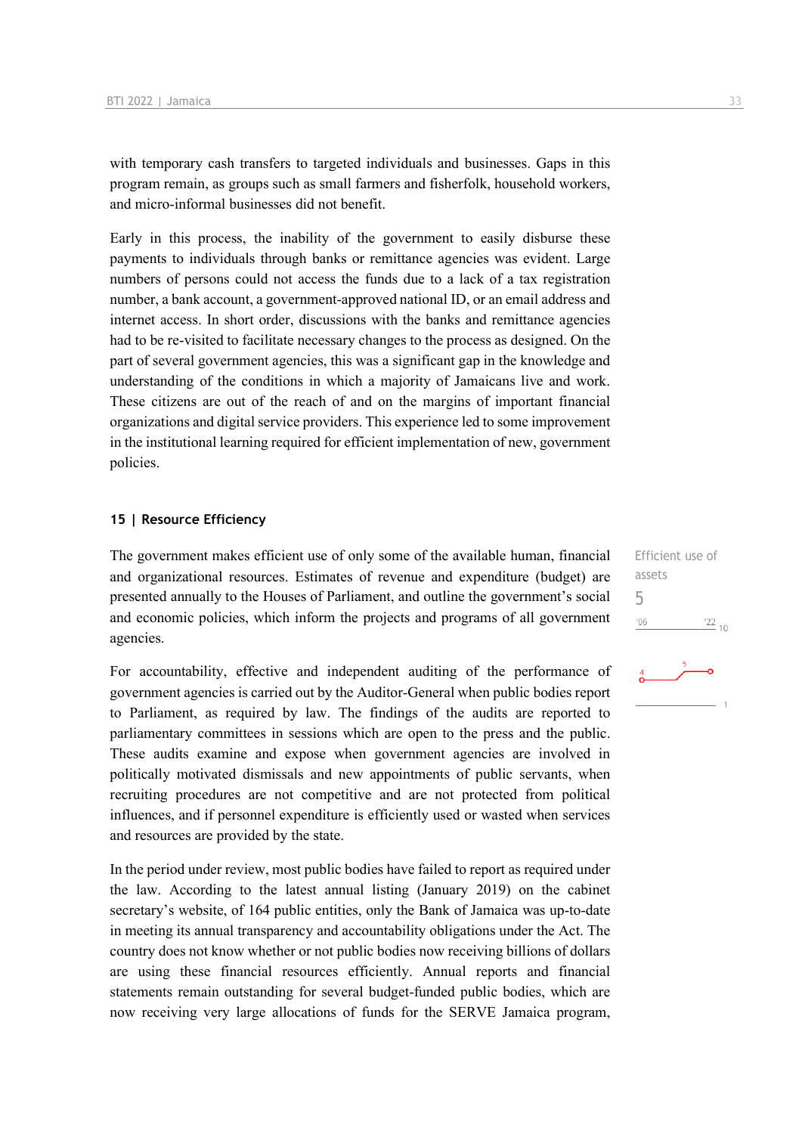with temporary cash transfers to targeted individuals and businesses. Gaps in this program remain, as groups such as small farmers and fisherfolk, household workers, and micro-informal businesses did not benefit.

Early in this process, the inability of the government to easily disburse these payments to individuals through banks or remittance agencies was evident. Large numbers of persons could not access the funds due to a lack of a tax registration number, a bank account, a government-approved national ID, or an email address and internet access. In short order, discussions with the banks and remittance agencies had to be re-visited to facilitate necessary changes to the process as designed. On the part of several government agencies, this was a significant gap in the knowledge and understanding of the conditions in which a majority of Jamaicans live and work. These citizens are out of the reach of and on the margins of important financial organizations and digital service providers. This experience led to some improvement in the institutional learning required for efficient implementation of new, government policies.

#### **15 | Resource Efficiency**

The government makes efficient use of only some of the available human, financial and organizational resources. Estimates of revenue and expenditure (budget) are presented annually to the Houses of Parliament, and outline the government's social and economic policies, which inform the projects and programs of all government agencies.

For accountability, effective and independent auditing of the performance of government agencies is carried out by the Auditor-General when public bodies report to Parliament, as required by law. The findings of the audits are reported to parliamentary committees in sessions which are open to the press and the public. These audits examine and expose when government agencies are involved in politically motivated dismissals and new appointments of public servants, when recruiting procedures are not competitive and are not protected from political influences, and if personnel expenditure is efficiently used or wasted when services and resources are provided by the state.

In the period under review, most public bodies have failed to report as required under the law. According to the latest annual listing (January 2019) on the cabinet secretary's website, of 164 public entities, only the Bank of Jamaica was up-to-date in meeting its annual transparency and accountability obligations under the Act. The country does not know whether or not public bodies now receiving billions of dollars are using these financial resources efficiently. Annual reports and financial statements remain outstanding for several budget-funded public bodies, which are now receiving very large allocations of funds for the SERVE Jamaica program, Efficient use of assets 5 $-06$  $\frac{22}{10}$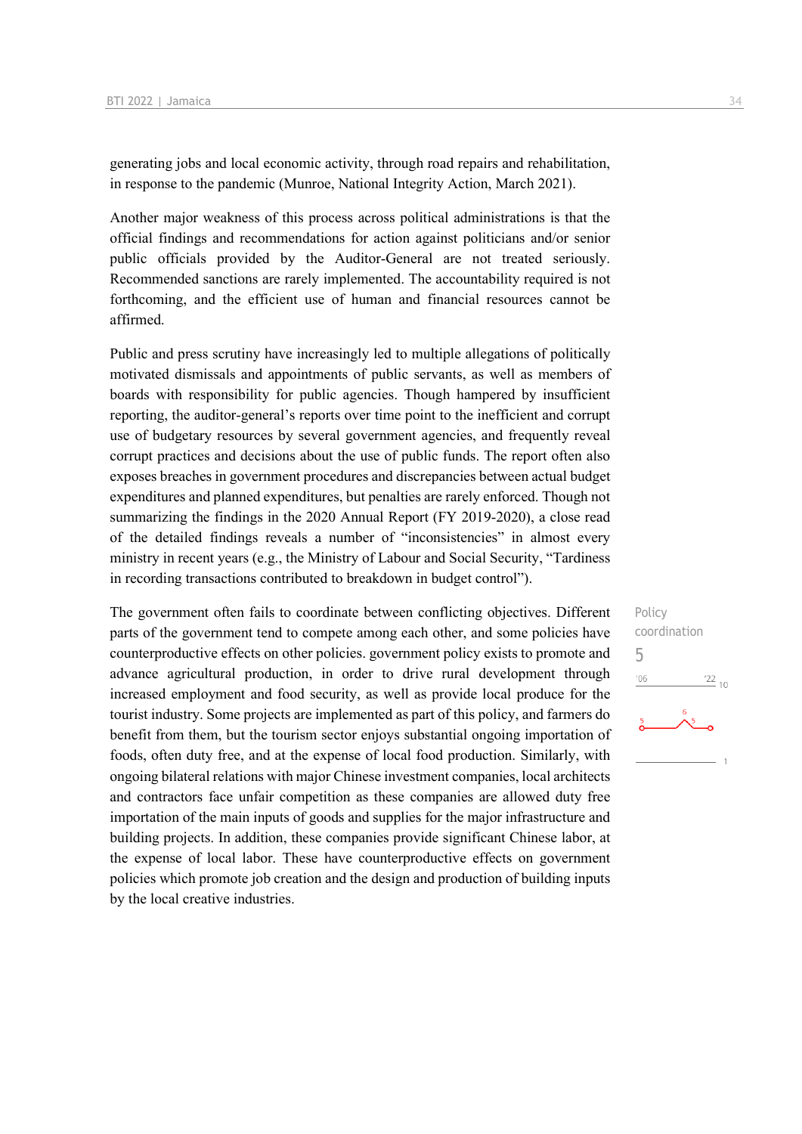generating jobs and local economic activity, through road repairs and rehabilitation, in response to the pandemic (Munroe, National Integrity Action, March 2021).

Another major weakness of this process across political administrations is that the official findings and recommendations for action against politicians and/or senior public officials provided by the Auditor-General are not treated seriously. Recommended sanctions are rarely implemented. The accountability required is not forthcoming, and the efficient use of human and financial resources cannot be affirmed.

Public and press scrutiny have increasingly led to multiple allegations of politically motivated dismissals and appointments of public servants, as well as members of boards with responsibility for public agencies. Though hampered by insufficient reporting, the auditor-general's reports over time point to the inefficient and corrupt use of budgetary resources by several government agencies, and frequently reveal corrupt practices and decisions about the use of public funds. The report often also exposes breaches in government procedures and discrepancies between actual budget expenditures and planned expenditures, but penalties are rarely enforced. Though not summarizing the findings in the 2020 Annual Report (FY 2019-2020), a close read of the detailed findings reveals a number of "inconsistencies" in almost every ministry in recent years (e.g., the Ministry of Labour and Social Security, "Tardiness in recording transactions contributed to breakdown in budget control").

The government often fails to coordinate between conflicting objectives. Different parts of the government tend to compete among each other, and some policies have counterproductive effects on other policies. government policy exists to promote and advance agricultural production, in order to drive rural development through increased employment and food security, as well as provide local produce for the tourist industry. Some projects are implemented as part of this policy, and farmers do benefit from them, but the tourism sector enjoys substantial ongoing importation of foods, often duty free, and at the expense of local food production. Similarly, with ongoing bilateral relations with major Chinese investment companies, local architects and contractors face unfair competition as these companies are allowed duty free importation of the main inputs of goods and supplies for the major infrastructure and building projects. In addition, these companies provide significant Chinese labor, at the expense of local labor. These have counterproductive effects on government policies which promote job creation and the design and production of building inputs by the local creative industries.

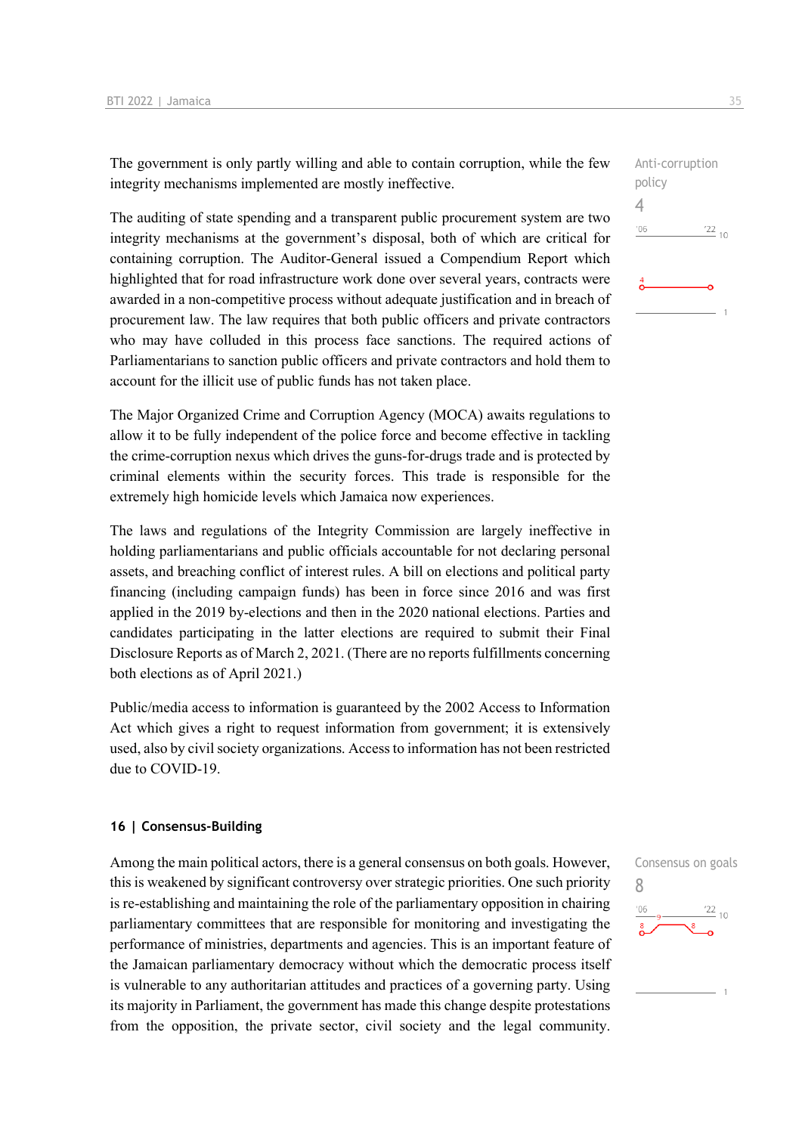The government is only partly willing and able to contain corruption, while the few integrity mechanisms implemented are mostly ineffective.

The auditing of state spending and a transparent public procurement system are two integrity mechanisms at the government's disposal, both of which are critical for containing corruption. The Auditor-General issued a Compendium Report which highlighted that for road infrastructure work done over several years, contracts were awarded in a non-competitive process without adequate justification and in breach of procurement law. The law requires that both public officers and private contractors who may have colluded in this process face sanctions. The required actions of Parliamentarians to sanction public officers and private contractors and hold them to account for the illicit use of public funds has not taken place.

The Major Organized Crime and Corruption Agency (MOCA) awaits regulations to allow it to be fully independent of the police force and become effective in tackling the crime-corruption nexus which drives the guns-for-drugs trade and is protected by criminal elements within the security forces. This trade is responsible for the extremely high homicide levels which Jamaica now experiences.

The laws and regulations of the Integrity Commission are largely ineffective in holding parliamentarians and public officials accountable for not declaring personal assets, and breaching conflict of interest rules. A bill on elections and political party financing (including campaign funds) has been in force since 2016 and was first applied in the 2019 by-elections and then in the 2020 national elections. Parties and candidates participating in the latter elections are required to submit their Final Disclosure Reports as of March 2, 2021. (There are no reports fulfillments concerning both elections as of April 2021.)

Public/media access to information is guaranteed by the 2002 Access to Information Act which gives a right to request information from government; it is extensively used, also by civil society organizations. Access to information has not been restricted due to COVID-19.

#### **16 | Consensus-Building**

Among the main political actors, there is a general consensus on both goals. However, this is weakened by significant controversy over strategic priorities. One such priority is re-establishing and maintaining the role of the parliamentary opposition in chairing parliamentary committees that are responsible for monitoring and investigating the performance of ministries, departments and agencies. This is an important feature of the Jamaican parliamentary democracy without which the democratic process itself is vulnerable to any authoritarian attitudes and practices of a governing party. Using its majority in Parliament, the government has made this change despite protestations from the opposition, the private sector, civil society and the legal community.



 $\frac{22}{10}$ 

policy 4

 $-06$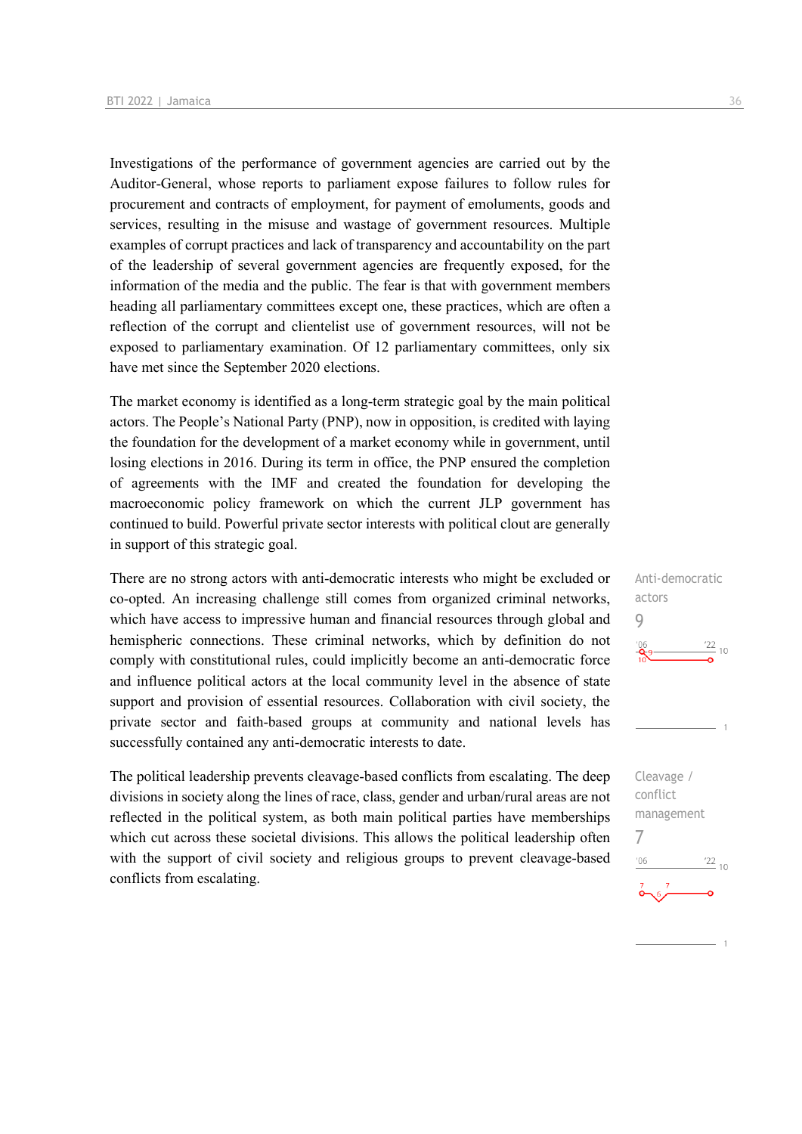Investigations of the performance of government agencies are carried out by the Auditor-General, whose reports to parliament expose failures to follow rules for procurement and contracts of employment, for payment of emoluments, goods and services, resulting in the misuse and wastage of government resources. Multiple examples of corrupt practices and lack of transparency and accountability on the part of the leadership of several government agencies are frequently exposed, for the information of the media and the public. The fear is that with government members heading all parliamentary committees except one, these practices, which are often a reflection of the corrupt and clientelist use of government resources, will not be exposed to parliamentary examination. Of 12 parliamentary committees, only six have met since the September 2020 elections.

The market economy is identified as a long-term strategic goal by the main political actors. The People's National Party (PNP), now in opposition, is credited with laying the foundation for the development of a market economy while in government, until losing elections in 2016. During its term in office, the PNP ensured the completion of agreements with the IMF and created the foundation for developing the macroeconomic policy framework on which the current JLP government has continued to build. Powerful private sector interests with political clout are generally in support of this strategic goal.

There are no strong actors with anti-democratic interests who might be excluded or co-opted. An increasing challenge still comes from organized criminal networks, which have access to impressive human and financial resources through global and hemispheric connections. These criminal networks, which by definition do not comply with constitutional rules, could implicitly become an anti-democratic force and influence political actors at the local community level in the absence of state support and provision of essential resources. Collaboration with civil society, the private sector and faith-based groups at community and national levels has successfully contained any anti-democratic interests to date.

The political leadership prevents cleavage-based conflicts from escalating. The deep divisions in society along the lines of race, class, gender and urban/rural areas are not reflected in the political system, as both main political parties have memberships which cut across these societal divisions. This allows the political leadership often with the support of civil society and religious groups to prevent cleavage-based conflicts from escalating.

 $\frac{22}{10}$ 

 $06'$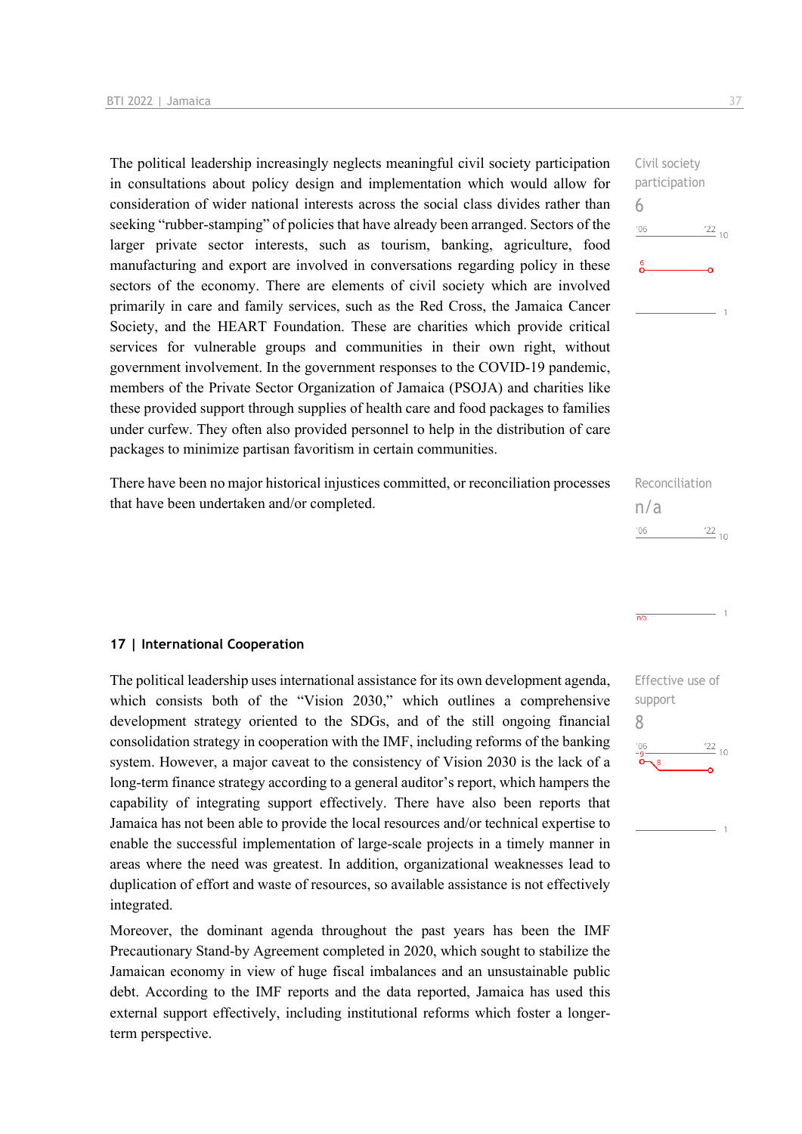The political leadership increasingly neglects meaningful civil society participation in consultations about policy design and implementation which would allow for consideration of wider national interests across the social class divides rather than seeking "rubber-stamping" of policies that have already been arranged. Sectors of the larger private sector interests, such as tourism, banking, agriculture, food manufacturing and export are involved in conversations regarding policy in these sectors of the economy. There are elements of civil society which are involved primarily in care and family services, such as the Red Cross, the Jamaica Cancer Society, and the HEART Foundation. These are charities which provide critical services for vulnerable groups and communities in their own right, without government involvement. In the government responses to the COVID-19 pandemic, members of the Private Sector Organization of Jamaica (PSOJA) and charities like these provided support through supplies of health care and food packages to families under curfew. They often also provided personnel to help in the distribution of care packages to minimize partisan favoritism in certain communities.

There have been no major historical injustices committed, or reconciliation processes that have been undertaken and/or completed.



The political leadership uses international assistance for its own development agenda, which consists both of the "Vision 2030," which outlines a comprehensive development strategy oriented to the SDGs, and of the still ongoing financial consolidation strategy in cooperation with the IMF, including reforms of the banking system. However, a major caveat to the consistency of Vision 2030 is the lack of a long-term finance strategy according to a general auditor's report, which hampers the capability of integrating support effectively. There have also been reports that Jamaica has not been able to provide the local resources and/or technical expertise to enable the successful implementation of large-scale projects in a timely manner in areas where the need was greatest. In addition, organizational weaknesses lead to duplication of effort and waste of resources, so available assistance is not effectively integrated.

Moreover, the dominant agenda throughout the past years has been the IMF Precautionary Stand-by Agreement completed in 2020, which sought to stabilize the Jamaican economy in view of huge fiscal imbalances and an unsustainable public debt. According to the IMF reports and the data reported, Jamaica has used this external support effectively, including institutional reforms which foster a longerterm perspective.

6

 $-06$ 

| Reconciliation |               |  |
|----------------|---------------|--|
| n/a            |               |  |
| 106            | $^{22}_{-10}$ |  |

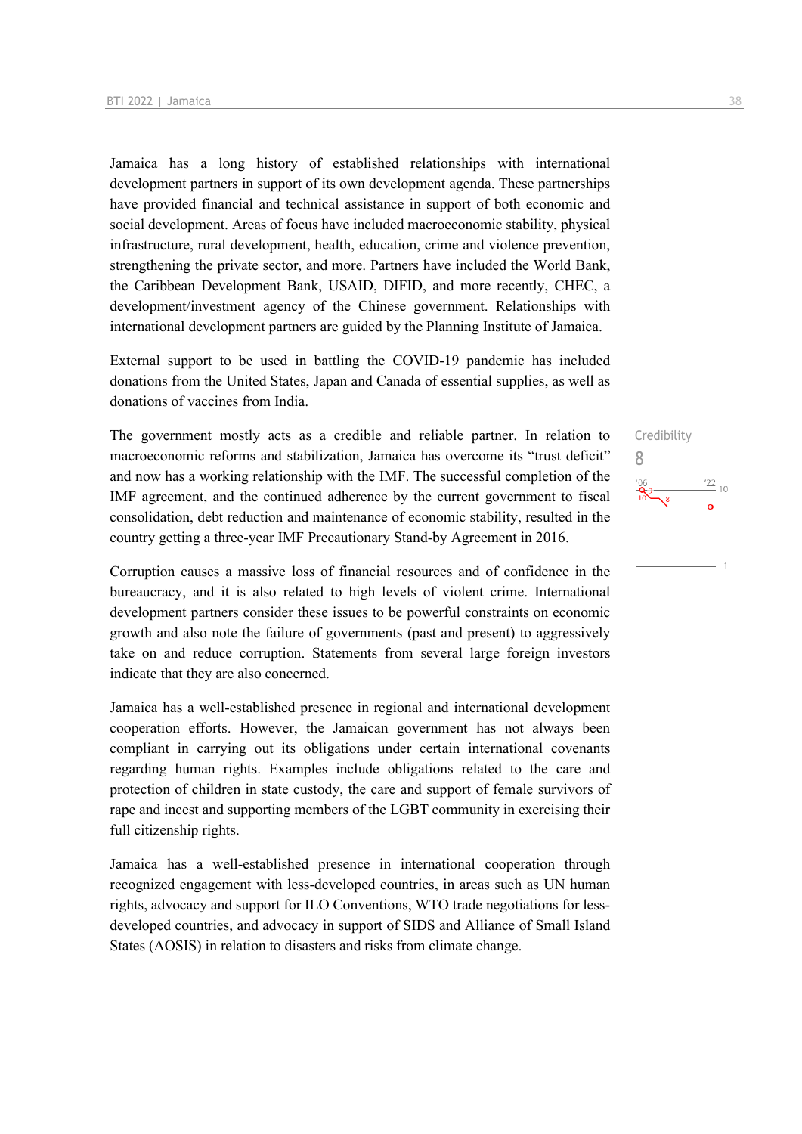Jamaica has a long history of established relationships with international development partners in support of its own development agenda. These partnerships have provided financial and technical assistance in support of both economic and social development. Areas of focus have included macroeconomic stability, physical infrastructure, rural development, health, education, crime and violence prevention, strengthening the private sector, and more. Partners have included the World Bank, the Caribbean Development Bank, USAID, DIFID, and more recently, CHEC, a development/investment agency of the Chinese government. Relationships with international development partners are guided by the Planning Institute of Jamaica.

External support to be used in battling the COVID-19 pandemic has included donations from the United States, Japan and Canada of essential supplies, as well as donations of vaccines from India.

The government mostly acts as a credible and reliable partner. In relation to macroeconomic reforms and stabilization, Jamaica has overcome its "trust deficit" and now has a working relationship with the IMF. The successful completion of the IMF agreement, and the continued adherence by the current government to fiscal consolidation, debt reduction and maintenance of economic stability, resulted in the country getting a three-year IMF Precautionary Stand-by Agreement in 2016.

Corruption causes a massive loss of financial resources and of confidence in the bureaucracy, and it is also related to high levels of violent crime. International development partners consider these issues to be powerful constraints on economic growth and also note the failure of governments (past and present) to aggressively take on and reduce corruption. Statements from several large foreign investors indicate that they are also concerned.

Jamaica has a well-established presence in regional and international development cooperation efforts. However, the Jamaican government has not always been compliant in carrying out its obligations under certain international covenants regarding human rights. Examples include obligations related to the care and protection of children in state custody, the care and support of female survivors of rape and incest and supporting members of the LGBT community in exercising their full citizenship rights.

Jamaica has a well-established presence in international cooperation through recognized engagement with less-developed countries, in areas such as UN human rights, advocacy and support for ILO Conventions, WTO trade negotiations for lessdeveloped countries, and advocacy in support of SIDS and Alliance of Small Island States (AOSIS) in relation to disasters and risks from climate change.

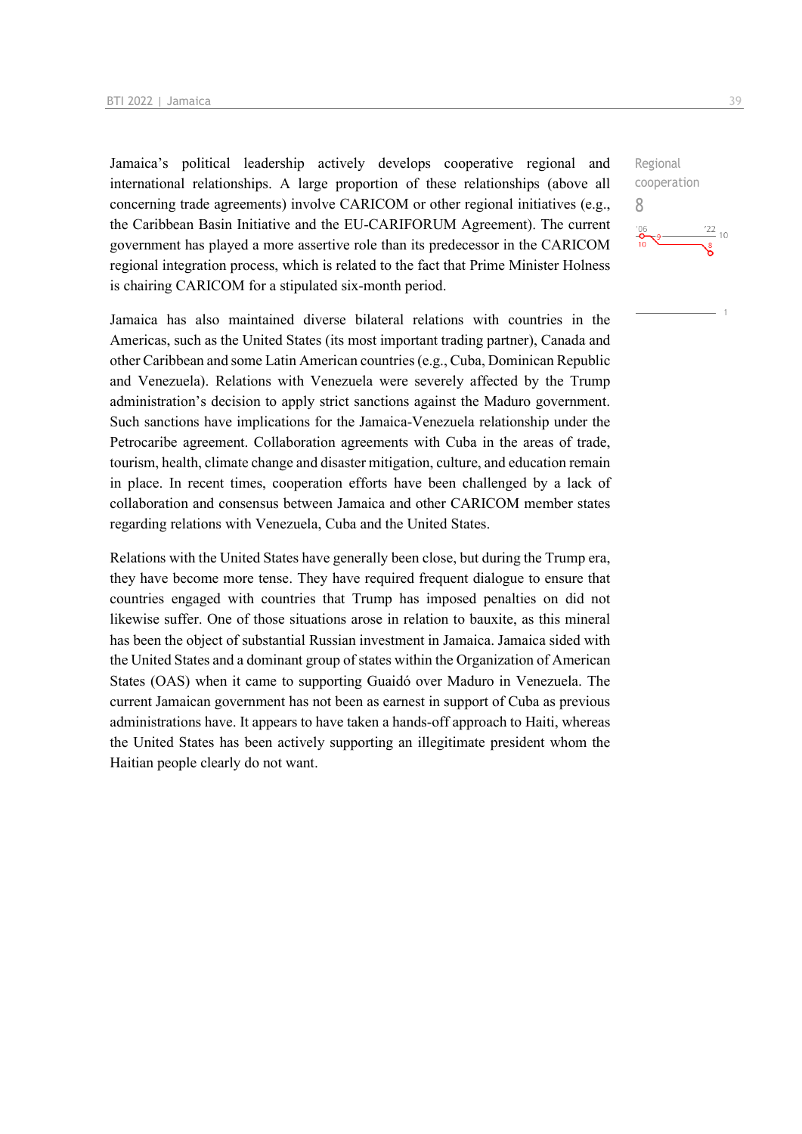Jamaica's political leadership actively develops cooperative regional and international relationships. A large proportion of these relationships (above all concerning trade agreements) involve CARICOM or other regional initiatives (e.g., the Caribbean Basin Initiative and the EU-CARIFORUM Agreement). The current government has played a more assertive role than its predecessor in the CARICOM regional integration process, which is related to the fact that Prime Minister Holness is chairing CARICOM for a stipulated six-month period.

Jamaica has also maintained diverse bilateral relations with countries in the Americas, such as the United States (its most important trading partner), Canada and other Caribbean and some Latin American countries (e.g., Cuba, Dominican Republic and Venezuela). Relations with Venezuela were severely affected by the Trump administration's decision to apply strict sanctions against the Maduro government. Such sanctions have implications for the Jamaica-Venezuela relationship under the Petrocaribe agreement. Collaboration agreements with Cuba in the areas of trade, tourism, health, climate change and disaster mitigation, culture, and education remain in place. In recent times, cooperation efforts have been challenged by a lack of collaboration and consensus between Jamaica and other CARICOM member states regarding relations with Venezuela, Cuba and the United States.

Relations with the United States have generally been close, but during the Trump era, they have become more tense. They have required frequent dialogue to ensure that countries engaged with countries that Trump has imposed penalties on did not likewise suffer. One of those situations arose in relation to bauxite, as this mineral has been the object of substantial Russian investment in Jamaica. Jamaica sided with the United States and a dominant group of states within the Organization of American States (OAS) when it came to supporting Guaidó over Maduro in Venezuela. The current Jamaican government has not been as earnest in support of Cuba as previous administrations have. It appears to have taken a hands-off approach to Haiti, whereas the United States has been actively supporting an illegitimate president whom the Haitian people clearly do not want.

Regional cooperation 8 $\frac{22}{10}$